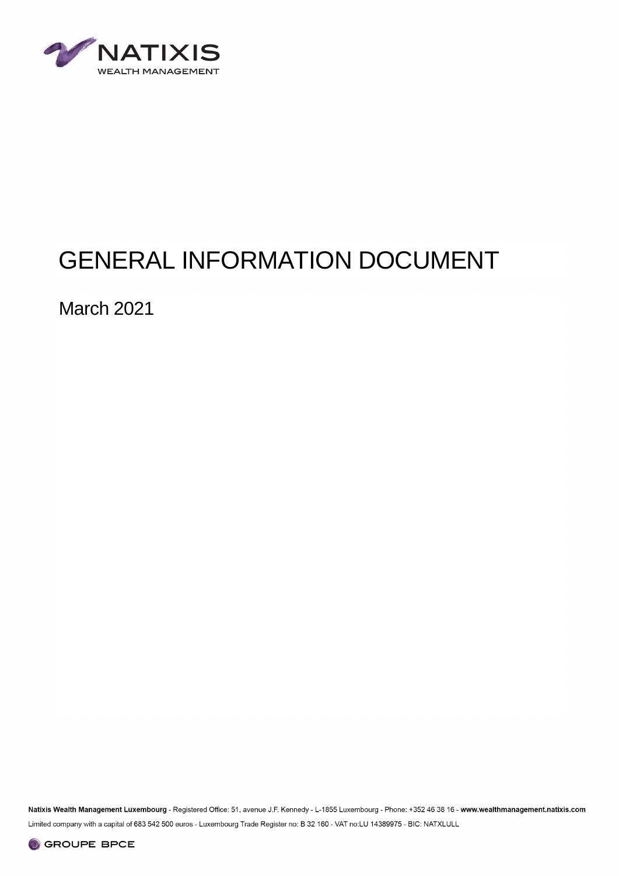

# GENERAL INFORMATION DOCUMENT

March 2021

Natixis Wealth Management Luxembourg - Registered Office: 51, avenue J.F. Kennedy - L-1855 Luxembourg - Phone: +352 46 38 16 - www.wealthmanagement.natixis.com Limited company with a capital of 683 542 500 euros - Luxembourg Trade Register no: B 32 160 - VAT no:LU 14389975 - BIC: NATXLULL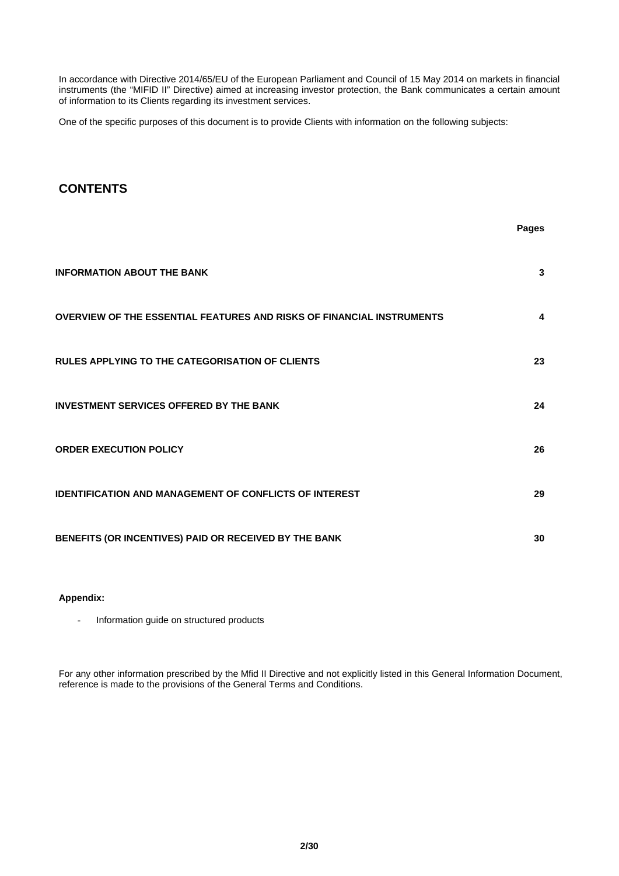In accordance with Directive 2014/65/EU of the European Parliament and Council of 15 May 2014 on markets in financial instruments (the "MIFID II" Directive) aimed at increasing investor protection, the Bank communicates a certain amount of information to its Clients regarding its investment services.

One of the specific purposes of this document is to provide Clients with information on the following subjects:

## **CONTENTS**

|                                                                       | Pages |
|-----------------------------------------------------------------------|-------|
| <b>INFORMATION ABOUT THE BANK</b>                                     | 3     |
| OVERVIEW OF THE ESSENTIAL FEATURES AND RISKS OF FINANCIAL INSTRUMENTS | 4     |
| <b>RULES APPLYING TO THE CATEGORISATION OF CLIENTS</b>                | 23    |
| <b>INVESTMENT SERVICES OFFERED BY THE BANK</b>                        | 24    |
| <b>ORDER EXECUTION POLICY</b>                                         | 26    |
| <b>IDENTIFICATION AND MANAGEMENT OF CONFLICTS OF INTEREST</b>         | 29    |
| BENEFITS (OR INCENTIVES) PAID OR RECEIVED BY THE BANK                 | 30    |

## **Appendix:**

- Information guide on structured products

For any other information prescribed by the Mfid II Directive and not explicitly listed in this General Information Document, reference is made to the provisions of the General Terms and Conditions.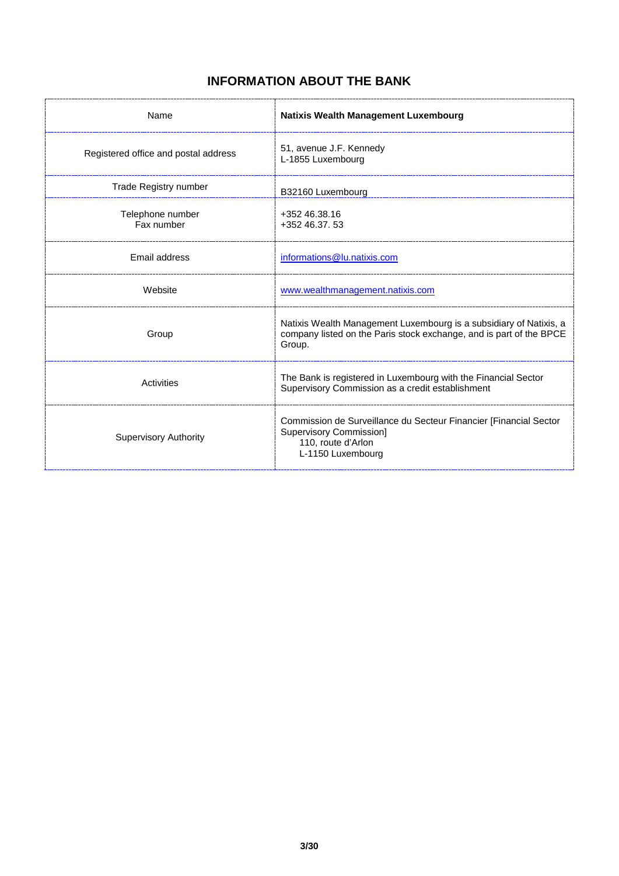## **INFORMATION ABOUT THE BANK**

| Name                                 | <b>Natixis Wealth Management Luxembourg</b>                                                                                                         |
|--------------------------------------|-----------------------------------------------------------------------------------------------------------------------------------------------------|
| Registered office and postal address | 51, avenue J.F. Kennedy<br>L-1855 Luxembourg                                                                                                        |
| Trade Registry number                | B32160 Luxembourg                                                                                                                                   |
| Telephone number<br>Fax number       | +352 46.38.16<br>+352 46.37, 53                                                                                                                     |
| Email address                        | informations@lu.natixis.com                                                                                                                         |
| Website                              | www.wealthmanagement.natixis.com                                                                                                                    |
| Group                                | Natixis Wealth Management Luxembourg is a subsidiary of Natixis, a<br>company listed on the Paris stock exchange, and is part of the BPCE<br>Group. |
| Activities                           | The Bank is registered in Luxembourg with the Financial Sector<br>Supervisory Commission as a credit establishment                                  |
| <b>Supervisory Authority</b>         | Commission de Surveillance du Secteur Financier [Financial Sector<br><b>Supervisory Commission]</b><br>110, route d'Arlon<br>L-1150 Luxembourg      |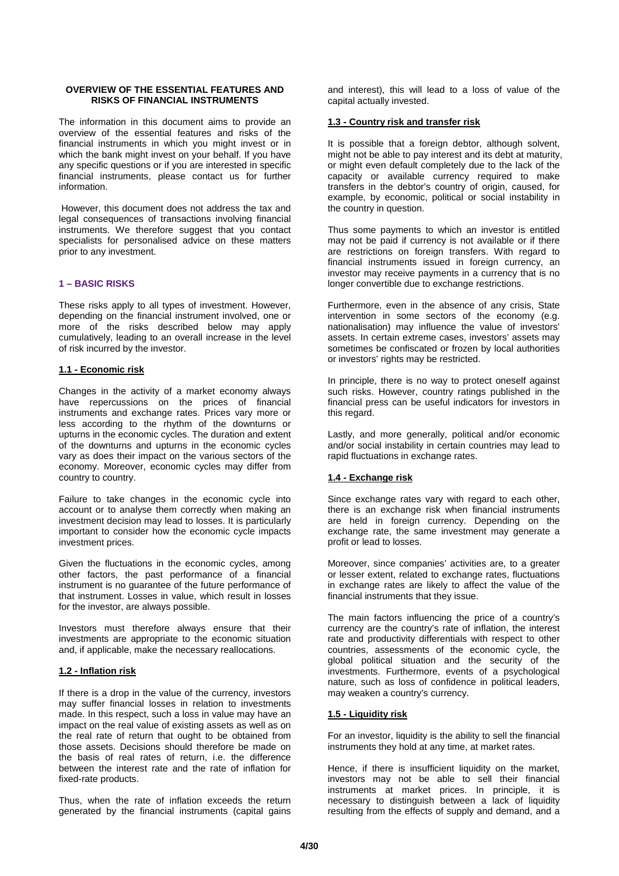## **OVERVIEW OF THE ESSENTIAL FEATURES AND RISKS OF FINANCIAL INSTRUMENTS**

The information in this document aims to provide an overview of the essential features and risks of the financial instruments in which you might invest or in which the bank might invest on your behalf. If you have any specific questions or if you are interested in specific financial instruments, please contact us for further information.

However, this document does not address the tax and legal consequences of transactions involving financial instruments. We therefore suggest that you contact specialists for personalised advice on these matters prior to any investment.

## **1 – BASIC RISKS**

These risks apply to all types of investment. However, depending on the financial instrument involved, one or more of the risks described below may apply cumulatively, leading to an overall increase in the level of risk incurred by the investor.

## **1.1 - Economic risk**

Changes in the activity of a market economy always have repercussions on the prices of financial instruments and exchange rates. Prices vary more or less according to the rhythm of the downturns or upturns in the economic cycles. The duration and extent of the downturns and upturns in the economic cycles vary as does their impact on the various sectors of the economy. Moreover, economic cycles may differ from country to country.

Failure to take changes in the economic cycle into account or to analyse them correctly when making an investment decision may lead to losses. It is particularly important to consider how the economic cycle impacts investment prices.

Given the fluctuations in the economic cycles, among other factors, the past performance of a financial instrument is no guarantee of the future performance of that instrument. Losses in value, which result in losses for the investor, are always possible.

Investors must therefore always ensure that their investments are appropriate to the economic situation and, if applicable, make the necessary reallocations.

#### **1.2 - Inflation risk**

If there is a drop in the value of the currency, investors may suffer financial losses in relation to investments made. In this respect, such a loss in value may have an impact on the real value of existing assets as well as on the real rate of return that ought to be obtained from those assets. Decisions should therefore be made on the basis of real rates of return, i.e. the difference between the interest rate and the rate of inflation for fixed-rate products.

Thus, when the rate of inflation exceeds the return generated by the financial instruments (capital gains

and interest), this will lead to a loss of value of the capital actually invested.

## **1.3 - Country risk and transfer risk**

It is possible that a foreign debtor, although solvent, might not be able to pay interest and its debt at maturity, or might even default completely due to the lack of the capacity or available currency required to make transfers in the debtor's country of origin, caused, for example, by economic, political or social instability in the country in question.

Thus some payments to which an investor is entitled may not be paid if currency is not available or if there are restrictions on foreign transfers. With regard to financial instruments issued in foreign currency, an investor may receive payments in a currency that is no longer convertible due to exchange restrictions.

Furthermore, even in the absence of any crisis, State intervention in some sectors of the economy (e.g. nationalisation) may influence the value of investors' assets. In certain extreme cases, investors' assets may sometimes be confiscated or frozen by local authorities or investors' rights may be restricted.

In principle, there is no way to protect oneself against such risks. However, country ratings published in the financial press can be useful indicators for investors in this regard.

Lastly, and more generally, political and/or economic and/or social instability in certain countries may lead to rapid fluctuations in exchange rates.

## **1.4 - Exchange risk**

Since exchange rates vary with regard to each other, there is an exchange risk when financial instruments are held in foreign currency. Depending on the exchange rate, the same investment may generate a profit or lead to losses.

Moreover, since companies' activities are, to a greater or lesser extent, related to exchange rates, fluctuations in exchange rates are likely to affect the value of the financial instruments that they issue.

The main factors influencing the price of a country's currency are the country's rate of inflation, the interest rate and productivity differentials with respect to other countries, assessments of the economic cycle, the global political situation and the security of the investments. Furthermore, events of a psychological nature, such as loss of confidence in political leaders, may weaken a country's currency.

#### **1.5 - Liquidity risk**

For an investor, liquidity is the ability to sell the financial instruments they hold at any time, at market rates.

Hence, if there is insufficient liquidity on the market, investors may not be able to sell their financial instruments at market prices. In principle, it is necessary to distinguish between a lack of liquidity resulting from the effects of supply and demand, and a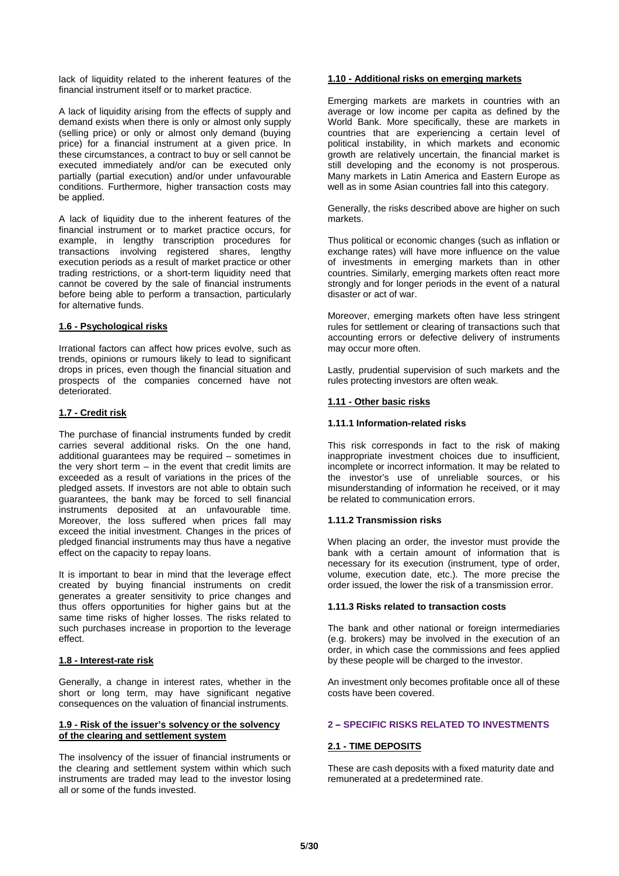lack of liquidity related to the inherent features of the financial instrument itself or to market practice.

A lack of liquidity arising from the effects of supply and demand exists when there is only or almost only supply (selling price) or only or almost only demand (buying price) for a financial instrument at a given price. In these circumstances, a contract to buy or sell cannot be executed immediately and/or can be executed only partially (partial execution) and/or under unfavourable conditions. Furthermore, higher transaction costs may be applied.

A lack of liquidity due to the inherent features of the financial instrument or to market practice occurs, for example, in lengthy transcription procedures for transactions involving registered shares, lengthy execution periods as a result of market practice or other trading restrictions, or a short-term liquidity need that cannot be covered by the sale of financial instruments before being able to perform a transaction, particularly for alternative funds.

## **1.6 - Psychological risks**

Irrational factors can affect how prices evolve, such as trends, opinions or rumours likely to lead to significant drops in prices, even though the financial situation and prospects of the companies concerned have not deteriorated.

## **1.7 - Credit risk**

The purchase of financial instruments funded by credit carries several additional risks. On the one hand, additional guarantees may be required – sometimes in the very short term  $-$  in the event that credit limits are exceeded as a result of variations in the prices of the pledged assets. If investors are not able to obtain such guarantees, the bank may be forced to sell financial instruments deposited at an unfavourable time. Moreover, the loss suffered when prices fall may exceed the initial investment. Changes in the prices of pledged financial instruments may thus have a negative effect on the capacity to repay loans.

It is important to bear in mind that the leverage effect created by buying financial instruments on credit generates a greater sensitivity to price changes and thus offers opportunities for higher gains but at the same time risks of higher losses. The risks related to such purchases increase in proportion to the leverage effect.

#### **1.8 - Interest-rate risk**

Generally, a change in interest rates, whether in the short or long term, may have significant negative consequences on the valuation of financial instruments.

#### **1.9 - Risk of the issuer's solvency or the solvency of the clearing and settlement system**

The insolvency of the issuer of financial instruments or the clearing and settlement system within which such instruments are traded may lead to the investor losing all or some of the funds invested.

## **1.10 - Additional risks on emerging markets**

Emerging markets are markets in countries with an average or low income per capita as defined by the World Bank. More specifically, these are markets in countries that are experiencing a certain level of political instability, in which markets and economic growth are relatively uncertain, the financial market is still developing and the economy is not prosperous. Many markets in Latin America and Eastern Europe as well as in some Asian countries fall into this category.

Generally, the risks described above are higher on such markets.

Thus political or economic changes (such as inflation or exchange rates) will have more influence on the value of investments in emerging markets than in other countries. Similarly, emerging markets often react more strongly and for longer periods in the event of a natural disaster or act of war.

Moreover, emerging markets often have less stringent rules for settlement or clearing of transactions such that accounting errors or defective delivery of instruments may occur more often.

Lastly, prudential supervision of such markets and the rules protecting investors are often weak.

## **1.11 - Other basic risks**

#### **1.11.1 Information-related risks**

This risk corresponds in fact to the risk of making inappropriate investment choices due to insufficient, incomplete or incorrect information. It may be related to the investor's use of unreliable sources, or his misunderstanding of information he received, or it may be related to communication errors.

#### **1.11.2 Transmission risks**

When placing an order, the investor must provide the bank with a certain amount of information that is necessary for its execution (instrument, type of order, volume, execution date, etc.). The more precise the order issued, the lower the risk of a transmission error.

#### **1.11.3 Risks related to transaction costs**

The bank and other national or foreign intermediaries (e.g. brokers) may be involved in the execution of an order, in which case the commissions and fees applied by these people will be charged to the investor.

An investment only becomes profitable once all of these costs have been covered.

## **2 – SPECIFIC RISKS RELATED TO INVESTMENTS**

#### **2.1 - TIME DEPOSITS**

These are cash deposits with a fixed maturity date and remunerated at a predetermined rate.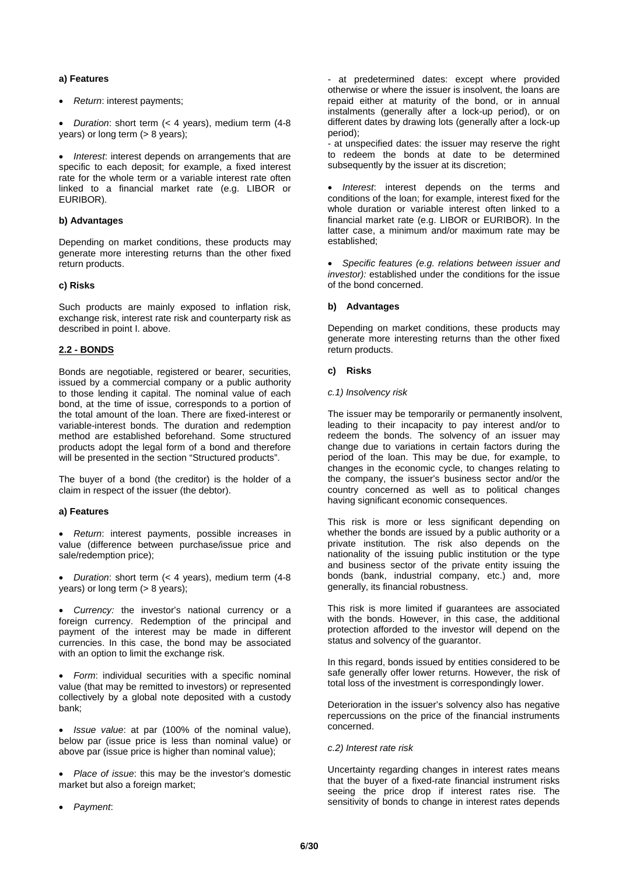## **a) Features**

- *Return*: interest payments;
- *Duration*: short term (< 4 years), medium term (4-8 years) or long term (> 8 years);

• *Interest*: interest depends on arrangements that are specific to each deposit; for example, a fixed interest rate for the whole term or a variable interest rate often linked to a financial market rate (e.g. LIBOR or EURIBOR).

#### **b) Advantages**

Depending on market conditions, these products may generate more interesting returns than the other fixed return products.

## **c) Risks**

Such products are mainly exposed to inflation risk, exchange risk, interest rate risk and counterparty risk as described in point I. above.

## **2.2 - BONDS**

Bonds are negotiable, registered or bearer, securities, issued by a commercial company or a public authority to those lending it capital. The nominal value of each bond, at the time of issue, corresponds to a portion of the total amount of the loan. There are fixed-interest or variable-interest bonds. The duration and redemption method are established beforehand. Some structured products adopt the legal form of a bond and therefore will be presented in the section "Structured products".

The buyer of a bond (the creditor) is the holder of a claim in respect of the issuer (the debtor).

#### **a) Features**

• *Return*: interest payments, possible increases in value (difference between purchase/issue price and sale/redemption price);

• *Duration*: short term (< 4 years), medium term (4-8 years) or long term (> 8 years);

• *Currency:* the investor's national currency or a foreign currency. Redemption of the principal and payment of the interest may be made in different currencies. In this case, the bond may be associated with an option to limit the exchange risk.

• *Form*: individual securities with a specific nominal value (that may be remitted to investors) or represented collectively by a global note deposited with a custody bank;

• *Issue value*: at par (100% of the nominal value), below par (issue price is less than nominal value) or above par (issue price is higher than nominal value);

• *Place of issue*: this may be the investor's domestic market but also a foreign market;

• *Payment*:

- at predetermined dates: except where provided otherwise or where the issuer is insolvent, the loans are repaid either at maturity of the bond, or in annual instalments (generally after a lock-up period), or on different dates by drawing lots (generally after a lock-up period);

- at unspecified dates: the issuer may reserve the right to redeem the bonds at date to be determined subsequently by the issuer at its discretion;

• *Interest*: interest depends on the terms and conditions of the loan; for example, interest fixed for the whole duration or variable interest often linked to a financial market rate (e.g. LIBOR or EURIBOR). In the latter case, a minimum and/or maximum rate may be established;

• *Specific features (e.g. relations between issuer and investor):* established under the conditions for the issue of the bond concerned.

## **b) Advantages**

Depending on market conditions, these products may generate more interesting returns than the other fixed return products.

## **c) Risks**

#### *c.1) Insolvency risk*

The issuer may be temporarily or permanently insolvent, leading to their incapacity to pay interest and/or to redeem the bonds. The solvency of an issuer may change due to variations in certain factors during the period of the loan. This may be due, for example, to changes in the economic cycle, to changes relating to the company, the issuer's business sector and/or the country concerned as well as to political changes having significant economic consequences.

This risk is more or less significant depending on whether the bonds are issued by a public authority or a private institution. The risk also depends on the nationality of the issuing public institution or the type and business sector of the private entity issuing the bonds (bank, industrial company, etc.) and, more generally, its financial robustness.

This risk is more limited if guarantees are associated with the bonds. However, in this case, the additional protection afforded to the investor will depend on the status and solvency of the guarantor.

In this regard, bonds issued by entities considered to be safe generally offer lower returns. However, the risk of total loss of the investment is correspondingly lower.

Deterioration in the issuer's solvency also has negative repercussions on the price of the financial instruments concerned.

#### *c.2) Interest rate risk*

Uncertainty regarding changes in interest rates means that the buyer of a fixed-rate financial instrument risks seeing the price drop if interest rates rise. The sensitivity of bonds to change in interest rates depends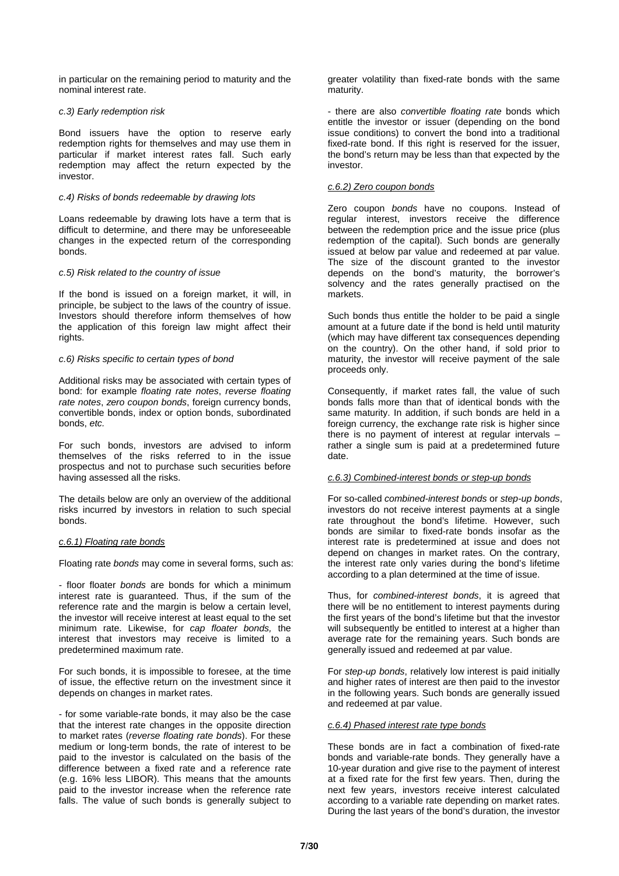in particular on the remaining period to maturity and the nominal interest rate.

## *c.3) Early redemption risk*

Bond issuers have the option to reserve early redemption rights for themselves and may use them in particular if market interest rates fall. Such early redemption may affect the return expected by the investor.

## *c.4) Risks of bonds redeemable by drawing lots*

Loans redeemable by drawing lots have a term that is difficult to determine, and there may be unforeseeable changes in the expected return of the corresponding bonds.

#### *c.5) Risk related to the country of issue*

If the bond is issued on a foreign market, it will, in principle, be subject to the laws of the country of issue. Investors should therefore inform themselves of how the application of this foreign law might affect their rights.

#### *c.6) Risks specific to certain types of bond*

Additional risks may be associated with certain types of bond: for example *floating rate notes*, *reverse floating rate notes*, *zero coupon bonds*, foreign currency bonds, convertible bonds, index or option bonds, subordinated bonds, *etc.*

For such bonds, investors are advised to inform themselves of the risks referred to in the issue prospectus and not to purchase such securities before having assessed all the risks.

The details below are only an overview of the additional risks incurred by investors in relation to such special bonds.

#### *c.6.1) Floating rate bonds*

Floating rate *bonds* may come in several forms, such as:

- floor floater *bonds* are bonds for which a minimum interest rate is guaranteed. Thus, if the sum of the reference rate and the margin is below a certain level, the investor will receive interest at least equal to the set minimum rate. Likewise, for *cap floater bonds,* the interest that investors may receive is limited to a predetermined maximum rate.

For such bonds, it is impossible to foresee, at the time of issue, the effective return on the investment since it depends on changes in market rates.

- for some variable-rate bonds, it may also be the case that the interest rate changes in the opposite direction to market rates (*reverse floating rate bonds*). For these medium or long-term bonds, the rate of interest to be paid to the investor is calculated on the basis of the difference between a fixed rate and a reference rate (e.g. 16% less LIBOR). This means that the amounts paid to the investor increase when the reference rate falls. The value of such bonds is generally subject to

greater volatility than fixed-rate bonds with the same maturity.

- there are also *convertible floating rate* bonds which entitle the investor or issuer (depending on the bond issue conditions) to convert the bond into a traditional fixed-rate bond. If this right is reserved for the issuer, the bond's return may be less than that expected by the investor.

## *c.6.2) Zero coupon bonds*

Zero coupon *bonds* have no coupons. Instead of regular interest, investors receive the difference between the redemption price and the issue price (plus redemption of the capital). Such bonds are generally issued at below par value and redeemed at par value. The size of the discount granted to the investor depends on the bond's maturity, the borrower's solvency and the rates generally practised on the markets.

Such bonds thus entitle the holder to be paid a single amount at a future date if the bond is held until maturity (which may have different tax consequences depending on the country). On the other hand, if sold prior to maturity, the investor will receive payment of the sale proceeds only.

Consequently, if market rates fall, the value of such bonds falls more than that of identical bonds with the same maturity. In addition, if such bonds are held in a foreign currency, the exchange rate risk is higher since there is no payment of interest at regular intervals – rather a single sum is paid at a predetermined future date.

#### *c.6.3) Combined-interest bonds or step-up bonds*

For so-called *combined-interest bonds* or *step-up bonds*, investors do not receive interest payments at a single rate throughout the bond's lifetime. However, such bonds are similar to fixed-rate bonds insofar as the interest rate is predetermined at issue and does not depend on changes in market rates. On the contrary, the interest rate only varies during the bond's lifetime according to a plan determined at the time of issue.

Thus, for *combined-interest bonds*, it is agreed that there will be no entitlement to interest payments during the first years of the bond's lifetime but that the investor will subsequently be entitled to interest at a higher than average rate for the remaining years. Such bonds are generally issued and redeemed at par value.

For *step-up bonds*, relatively low interest is paid initially and higher rates of interest are then paid to the investor in the following years. Such bonds are generally issued and redeemed at par value.

## *c.6.4) Phased interest rate type bonds*

These bonds are in fact a combination of fixed-rate bonds and variable-rate bonds. They generally have a 10-year duration and give rise to the payment of interest at a fixed rate for the first few years. Then, during the next few years, investors receive interest calculated according to a variable rate depending on market rates. During the last years of the bond's duration, the investor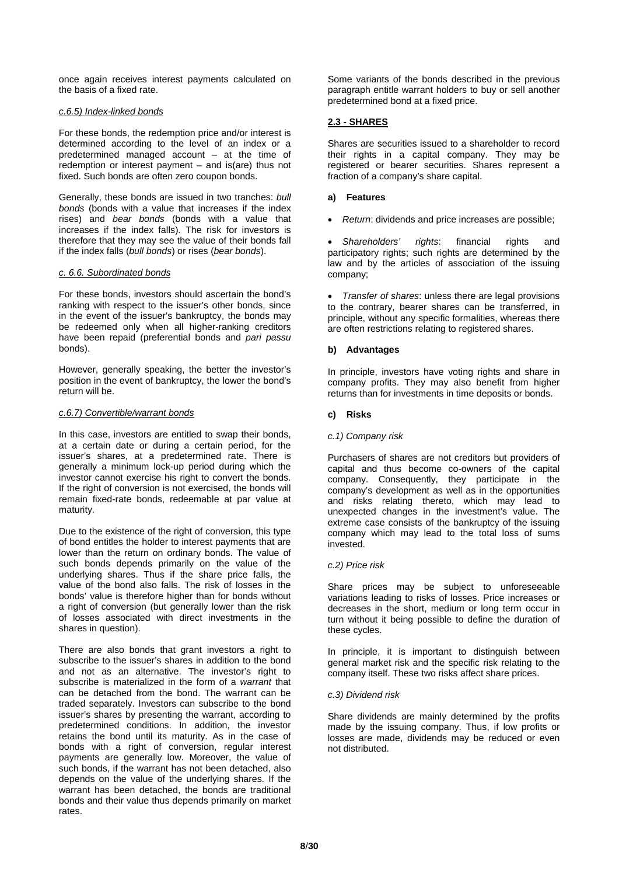once again receives interest payments calculated on the basis of a fixed rate.

## *c.6.5) Index-linked bonds*

For these bonds, the redemption price and/or interest is determined according to the level of an index or a predetermined managed account – at the time of redemption or interest payment – and is(are) thus not fixed. Such bonds are often zero coupon bonds.

Generally, these bonds are issued in two tranches: *bull bonds* (bonds with a value that increases if the index rises) and *bear bonds* (bonds with a value that increases if the index falls). The risk for investors is therefore that they may see the value of their bonds fall if the index falls (*bull bonds*) or rises (*bear bonds*).

## *c. 6.6. Subordinated bonds*

For these bonds, investors should ascertain the bond's ranking with respect to the issuer's other bonds, since in the event of the issuer's bankruptcy, the bonds may be redeemed only when all higher-ranking creditors have been repaid (preferential bonds and *pari passu* bonds).

However, generally speaking, the better the investor's position in the event of bankruptcy, the lower the bond's return will be.

## *c.6.7) Convertible/warrant bonds*

In this case, investors are entitled to swap their bonds, at a certain date or during a certain period, for the issuer's shares, at a predetermined rate. There is generally a minimum lock-up period during which the investor cannot exercise his right to convert the bonds. If the right of conversion is not exercised, the bonds will remain fixed-rate bonds, redeemable at par value at maturity.

Due to the existence of the right of conversion, this type of bond entitles the holder to interest payments that are lower than the return on ordinary bonds. The value of such bonds depends primarily on the value of the underlying shares. Thus if the share price falls, the value of the bond also falls. The risk of losses in the bonds' value is therefore higher than for bonds without a right of conversion (but generally lower than the risk of losses associated with direct investments in the shares in question).

There are also bonds that grant investors a right to subscribe to the issuer's shares in addition to the bond and not as an alternative. The investor's right to subscribe is materialized in the form of a *warrant* that can be detached from the bond. The warrant can be traded separately. Investors can subscribe to the bond issuer's shares by presenting the warrant, according to predetermined conditions. In addition, the investor retains the bond until its maturity. As in the case of bonds with a right of conversion, regular interest payments are generally low. Moreover, the value of such bonds, if the warrant has not been detached, also depends on the value of the underlying shares. If the warrant has been detached, the bonds are traditional bonds and their value thus depends primarily on market rates.

Some variants of the bonds described in the previous paragraph entitle warrant holders to buy or sell another predetermined bond at a fixed price.

## **2.3 - SHARES**

Shares are securities issued to a shareholder to record their rights in a capital company. They may be registered or bearer securities. Shares represent a fraction of a company's share capital.

## **a) Features**

• *Return*: dividends and price increases are possible;

• *Shareholders' rights*: financial rights and participatory rights; such rights are determined by the law and by the articles of association of the issuing company;

• *Transfer of shares*: unless there are legal provisions to the contrary, bearer shares can be transferred, in principle, without any specific formalities, whereas there are often restrictions relating to registered shares.

## **b) Advantages**

In principle, investors have voting rights and share in company profits. They may also benefit from higher returns than for investments in time deposits or bonds.

## **c) Risks**

#### *c.1) Company risk*

Purchasers of shares are not creditors but providers of capital and thus become co-owners of the capital company. Consequently, they participate in the company's development as well as in the opportunities and risks relating thereto, which may lead to unexpected changes in the investment's value. The extreme case consists of the bankruptcy of the issuing company which may lead to the total loss of sums invested.

#### *c.2) Price risk*

Share prices may be subject to unforeseeable variations leading to risks of losses. Price increases or decreases in the short, medium or long term occur in turn without it being possible to define the duration of these cycles.

In principle, it is important to distinguish between general market risk and the specific risk relating to the company itself. These two risks affect share prices.

#### *c.3) Dividend risk*

Share dividends are mainly determined by the profits made by the issuing company. Thus, if low profits or losses are made, dividends may be reduced or even not distributed.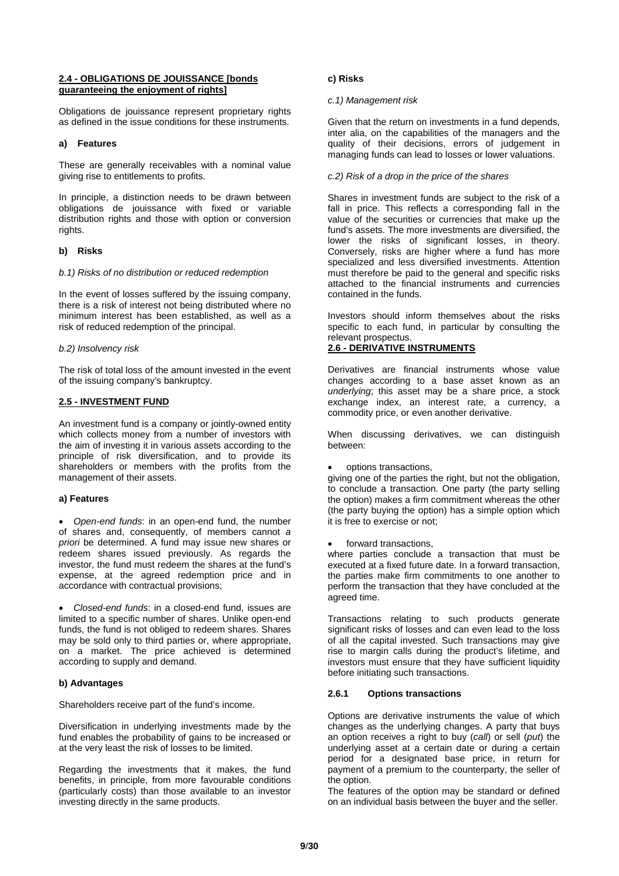#### **2.4 - OBLIGATIONS DE JOUISSANCE [bonds guaranteeing the enjoyment of rights]**

Obligations de jouissance represent proprietary rights as defined in the issue conditions for these instruments.

## **a) Features**

These are generally receivables with a nominal value giving rise to entitlements to profits.

In principle, a distinction needs to be drawn between obligations de jouissance with fixed or variable distribution rights and those with option or conversion rights.

## **b) Risks**

#### *b.1) Risks of no distribution or reduced redemption*

In the event of losses suffered by the issuing company, there is a risk of interest not being distributed where no minimum interest has been established, as well as a risk of reduced redemption of the principal.

#### *b.2) Insolvency risk*

The risk of total loss of the amount invested in the event of the issuing company's bankruptcy.

## **2.5 - INVESTMENT FUND**

An investment fund is a company or jointly-owned entity which collects money from a number of investors with the aim of investing it in various assets according to the principle of risk diversification, and to provide its shareholders or members with the profits from the management of their assets.

#### **a) Features**

• *Open-end funds*: in an open-end fund, the number of shares and, consequently, of members cannot *a priori* be determined. A fund may issue new shares or redeem shares issued previously. As regards the investor, the fund must redeem the shares at the fund's expense, at the agreed redemption price and in accordance with contractual provisions;

• *Closed-end funds*: in a closed-end fund, issues are limited to a specific number of shares. Unlike open-end funds, the fund is not obliged to redeem shares. Shares may be sold only to third parties or, where appropriate, on a market. The price achieved is determined according to supply and demand.

## **b) Advantages**

Shareholders receive part of the fund's income.

Diversification in underlying investments made by the fund enables the probability of gains to be increased or at the very least the risk of losses to be limited.

Regarding the investments that it makes, the fund benefits, in principle, from more favourable conditions (particularly costs) than those available to an investor investing directly in the same products.

## **c) Risks**

## *c.1) Management risk*

Given that the return on investments in a fund depends, inter alia, on the capabilities of the managers and the quality of their decisions, errors of judgement in managing funds can lead to losses or lower valuations.

## *c.2) Risk of a drop in the price of the shares*

Shares in investment funds are subject to the risk of a fall in price. This reflects a corresponding fall in the value of the securities or currencies that make up the fund's assets. The more investments are diversified, the lower the risks of significant losses, in theory. Conversely, risks are higher where a fund has more specialized and less diversified investments. Attention must therefore be paid to the general and specific risks attached to the financial instruments and currencies contained in the funds.

Investors should inform themselves about the risks specific to each fund, in particular by consulting the relevant prospectus.

## **2.6 - DERIVATIVE INSTRUMENTS**

Derivatives are financial instruments whose value changes according to a base asset known as an *underlying*; this asset may be a share price, a stock exchange index, an interest rate, a currency, a commodity price, or even another derivative.

When discussing derivatives, we can distinguish between:

• options transactions,

giving one of the parties the right, but not the obligation, to conclude a transaction. One party (the party selling the option) makes a firm commitment whereas the other (the party buying the option) has a simple option which it is free to exercise or not;

forward transactions.

where parties conclude a transaction that must be executed at a fixed future date. In a forward transaction, the parties make firm commitments to one another to perform the transaction that they have concluded at the agreed time.

Transactions relating to such products generate significant risks of losses and can even lead to the loss of all the capital invested. Such transactions may give rise to margin calls during the product's lifetime, and investors must ensure that they have sufficient liquidity before initiating such transactions.

#### **2.6.1 Options transactions**

Options are derivative instruments the value of which changes as the underlying changes. A party that buys an option receives a right to buy (*call*) or sell (*put*) the underlying asset at a certain date or during a certain period for a designated base price, in return for payment of a premium to the counterparty, the seller of the option.

The features of the option may be standard or defined on an individual basis between the buyer and the seller.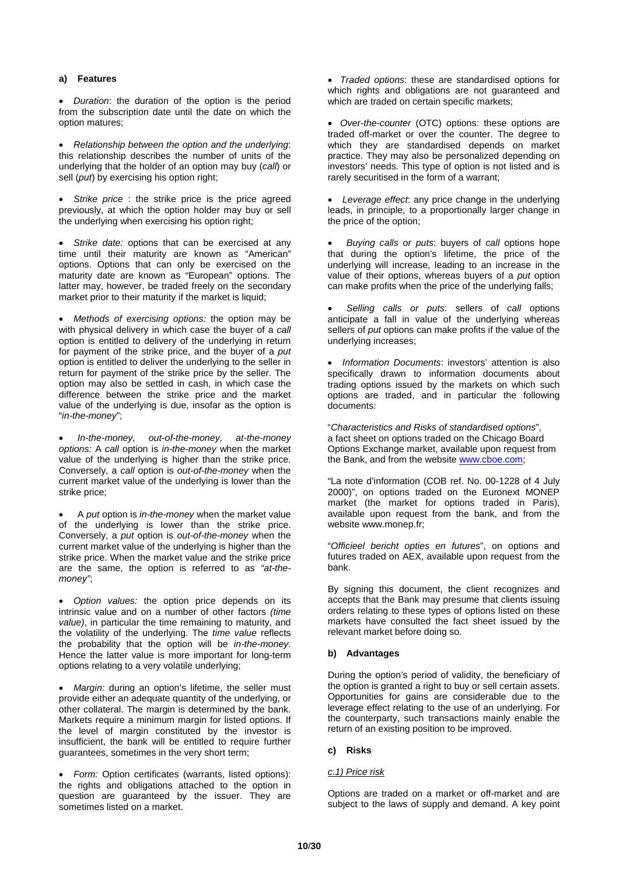## **a) Features**

• *Duration*: the duration of the option is the period from the subscription date until the date on which the option matures;

• *Relationship between the option and the underlying*: this relationship describes the number of units of the underlying that the holder of an option may buy (*call*) or sell (*put*) by exercising his option right;

• *Strike price* : the strike price is the price agreed previously, at which the option holder may buy or sell the underlying when exercising his option right;

• *Strike date:* options that can be exercised at any time until their maturity are known as "American" options. Options that can only be exercised on the maturity date are known as "European" options. The latter may, however, be traded freely on the secondary market prior to their maturity if the market is liquid;

• *Methods of exercising options:* the option may be with physical delivery in which case the buyer of a *call* option is entitled to delivery of the underlying in return for payment of the strike price, and the buyer of a *put* option is entitled to deliver the underlying to the seller in return for payment of the strike price by the seller. The option may also be settled in cash, in which case the difference between the strike price and the market value of the underlying is due, insofar as the option is "*in-the-money*";

• *In-the-money, out-of-the-money, at-the-money options:* A *call* option is *in-the-money* when the market value of the underlying is higher than the strike price. Conversely, a *call* option is *out-of-the-money* when the current market value of the underlying is lower than the strike price;

• A *put* option is *in-the-money* when the market value of the underlying is lower than the strike price. Conversely, a *put* option is *out-of-the-money* when the current market value of the underlying is higher than the strike price. When the market value and the strike price are the same, the option is referred to as *"at-themoney"*;

• *Option values:* the option price depends on its intrinsic value and on a number of other factors *(time value)*, in particular the time remaining to maturity, and the volatility of the underlying. The *time value* reflects the probability that the option will be *in-the-money*. Hence the latter value is more important for long-term options relating to a very volatile underlying;

• *Margin:* during an option's lifetime, the seller must provide either an adequate quantity of the underlying, or other collateral. The margin is determined by the bank. Markets require a minimum margin for listed options. If the level of margin constituted by the investor is insufficient, the bank will be entitled to require further guarantees, sometimes in the very short term;

• *Form:* Option certificates (warrants, listed options): the rights and obligations attached to the option in question are guaranteed by the issuer. They are sometimes listed on a market.

• *Traded options*: these are standardised options for which rights and obligations are not guaranteed and which are traded on certain specific markets;

• *Over-the-counter* (OTC) options: these options are traded off-market or over the counter. The degree to which they are standardised depends on market practice. They may also be personalized depending on investors' needs. This type of option is not listed and is rarely securitised in the form of a warrant;

• *Leverage effect*: any price change in the underlying leads, in principle, to a proportionally larger change in the price of the option;

• *Buying calls or puts*: buyers of *call* options hope that during the option's lifetime, the price of the underlying will increase, leading to an increase in the value of their options, whereas buyers of a *put* option can make profits when the price of the underlying falls;

• *Selling calls or puts*: sellers of *call* options anticipate a fall in value of the underlying whereas sellers of *put* options can make profits if the value of the underlying increases;

• *Information Documents*: investors' attention is also specifically drawn to information documents about trading options issued by the markets on which such options are traded, and in particular the following documents:

"*Characteristics and Risks of standardised options*", a fact sheet on options traded on the Chicago Board Options Exchange market, available upon request from the Bank, and from the website [www.cboe.com;](http://www.cboe.com/)

"La note d'information (COB ref. No. 00-1228 of 4 July 2000)", on options traded on the Euronext MONEP market (the market for options traded in Paris), available upon request from the bank, and from the website www.monep.fr;

"*Officieel bericht opties en futures*", on options and futures traded on AEX, available upon request from the bank.

By signing this document, the client recognizes and accepts that the Bank may presume that clients issuing orders relating to these types of options listed on these markets have consulted the fact sheet issued by the relevant market before doing so.

## **b) Advantages**

During the option's period of validity, the beneficiary of the option is granted a right to buy or sell certain assets. Opportunities for gains are considerable due to the leverage effect relating to the use of an underlying. For the counterparty, such transactions mainly enable the return of an existing position to be improved.

#### **c) Risks**

#### *c.1) Price risk*

Options are traded on a market or off-market and are subject to the laws of supply and demand. A key point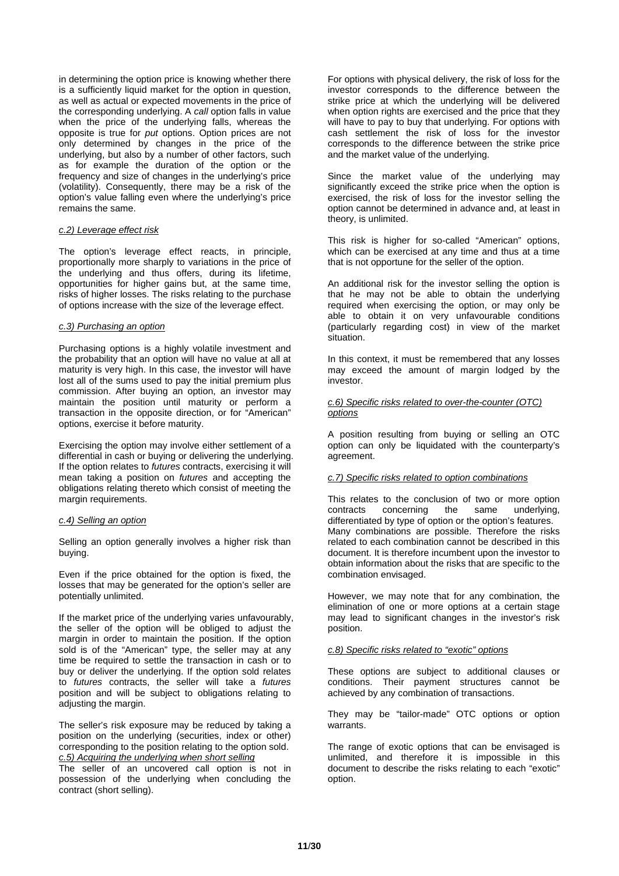in determining the option price is knowing whether there is a sufficiently liquid market for the option in question, as well as actual or expected movements in the price of the corresponding underlying. A *call* option falls in value when the price of the underlying falls, whereas the opposite is true for *put* options. Option prices are not only determined by changes in the price of the underlying, but also by a number of other factors, such as for example the duration of the option or the frequency and size of changes in the underlying's price (volatility). Consequently, there may be a risk of the option's value falling even where the underlying's price remains the same.

#### *c.2) Leverage effect risk*

The option's leverage effect reacts, in principle, proportionally more sharply to variations in the price of the underlying and thus offers, during its lifetime, opportunities for higher gains but, at the same time, risks of higher losses. The risks relating to the purchase of options increase with the size of the leverage effect.

#### *c.3) Purchasing an option*

Purchasing options is a highly volatile investment and the probability that an option will have no value at all at maturity is very high. In this case, the investor will have lost all of the sums used to pay the initial premium plus commission. After buying an option, an investor may maintain the position until maturity or perform a transaction in the opposite direction, or for "American" options, exercise it before maturity.

Exercising the option may involve either settlement of a differential in cash or buying or delivering the underlying. If the option relates to *futures* contracts, exercising it will mean taking a position on *futures* and accepting the obligations relating thereto which consist of meeting the margin requirements.

#### *c.4) Selling an option*

Selling an option generally involves a higher risk than buying.

Even if the price obtained for the option is fixed, the losses that may be generated for the option's seller are potentially unlimited.

If the market price of the underlying varies unfavourably, the seller of the option will be obliged to adjust the margin in order to maintain the position. If the option sold is of the "American" type, the seller may at any time be required to settle the transaction in cash or to buy or deliver the underlying. If the option sold relates to *futures* contracts, the seller will take a *futures* position and will be subject to obligations relating to adjusting the margin.

The seller's risk exposure may be reduced by taking a position on the underlying (securities, index or other) corresponding to the position relating to the option sold. *c.5) Acquiring the underlying when short selling*

The seller of an uncovered call option is not in possession of the underlying when concluding the contract (short selling).

For options with physical delivery, the risk of loss for the investor corresponds to the difference between the strike price at which the underlying will be delivered when option rights are exercised and the price that they will have to pay to buy that underlying. For options with cash settlement the risk of loss for the investor corresponds to the difference between the strike price and the market value of the underlying.

Since the market value of the underlying may significantly exceed the strike price when the option is exercised, the risk of loss for the investor selling the option cannot be determined in advance and, at least in theory, is unlimited.

This risk is higher for so-called "American" options, which can be exercised at any time and thus at a time that is not opportune for the seller of the option.

An additional risk for the investor selling the option is that he may not be able to obtain the underlying required when exercising the option, or may only be able to obtain it on very unfavourable conditions (particularly regarding cost) in view of the market situation.

In this context, it must be remembered that any losses may exceed the amount of margin lodged by the investor.

#### *c.6) Specific risks related to over-the-counter (OTC) options*

A position resulting from buying or selling an OTC option can only be liquidated with the counterparty's agreement.

#### *c.7) Specific risks related to option combinations*

This relates to the conclusion of two or more option contracts concerning the same underlying, differentiated by type of option or the option's features. Many combinations are possible. Therefore the risks related to each combination cannot be described in this document. It is therefore incumbent upon the investor to obtain information about the risks that are specific to the combination envisaged.

However, we may note that for any combination, the elimination of one or more options at a certain stage may lead to significant changes in the investor's risk position.

#### *c.8) Specific risks related to "exotic" options*

These options are subject to additional clauses or conditions. Their payment structures cannot be achieved by any combination of transactions.

They may be "tailor-made" OTC options or option warrants.

The range of exotic options that can be envisaged is unlimited, and therefore it is impossible in this document to describe the risks relating to each "exotic" option.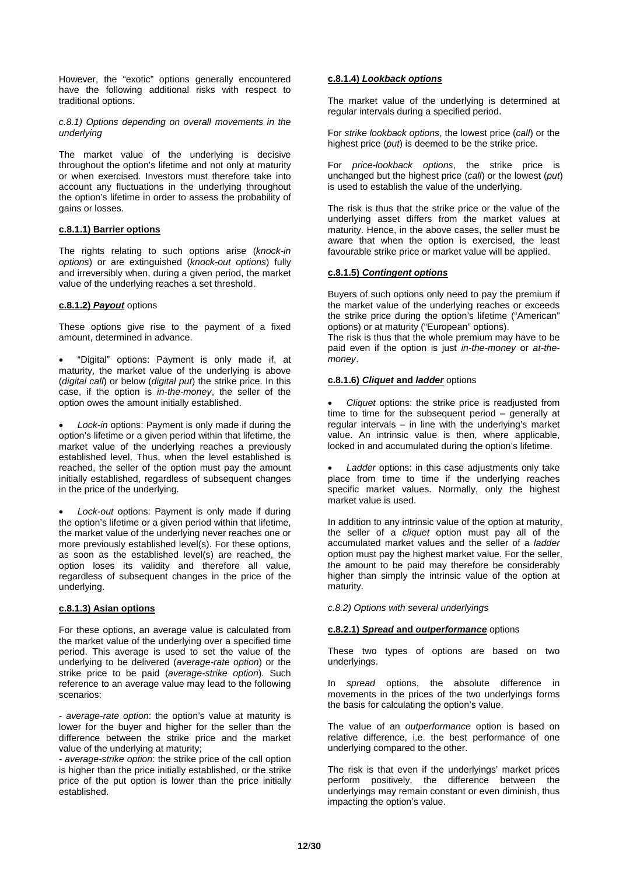However, the "exotic" options generally encountered have the following additional risks with respect to traditional options.

*c.8.1) Options depending on overall movements in the underlying*

The market value of the underlying is decisive throughout the option's lifetime and not only at maturity or when exercised. Investors must therefore take into account any fluctuations in the underlying throughout the option's lifetime in order to assess the probability of gains or losses.

#### **c.8.1.1) Barrier options**

The rights relating to such options arise (*knock-in options*) or are extinguished (*knock-out options*) fully and irreversibly when, during a given period, the market value of the underlying reaches a set threshold.

## **c.8.1.2)** *Payout* options

These options give rise to the payment of a fixed amount, determined in advance.

• "Digital" options: Payment is only made if, at maturity, the market value of the underlying is above (*digital call*) or below (*digital put*) the strike price. In this case, if the option is *in-the-money*, the seller of the option owes the amount initially established.

Lock-in options: Payment is only made if during the option's lifetime or a given period within that lifetime, the market value of the underlying reaches a previously established level. Thus, when the level established is reached, the seller of the option must pay the amount initially established, regardless of subsequent changes in the price of the underlying.

Lock-out options: Payment is only made if during the option's lifetime or a given period within that lifetime, the market value of the underlying never reaches one or more previously established level(s). For these options, as soon as the established level(s) are reached, the option loses its validity and therefore all value, regardless of subsequent changes in the price of the underlying.

#### **c.8.1.3) Asian options**

For these options, an average value is calculated from the market value of the underlying over a specified time period. This average is used to set the value of the underlying to be delivered (*average-rate option*) or the strike price to be paid (*average-strike option*). Such reference to an average value may lead to the following scenarios:

*- average-rate option*: the option's value at maturity is lower for the buyer and higher for the seller than the difference between the strike price and the market value of the underlying at maturity;

*- average-strike option*: the strike price of the call option is higher than the price initially established, or the strike price of the put option is lower than the price initially established.

## **c.8.1.4)** *Lookback options*

The market value of the underlying is determined at regular intervals during a specified period.

For *strike lookback options*, the lowest price (*call*) or the highest price (*put*) is deemed to be the strike price.

For *price-lookback options*, the strike price is unchanged but the highest price (*call*) or the lowest (*put*) is used to establish the value of the underlying.

The risk is thus that the strike price or the value of the underlying asset differs from the market values at maturity. Hence, in the above cases, the seller must be aware that when the option is exercised, the least favourable strike price or market value will be applied.

#### **c.8.1.5)** *Contingent options*

Buyers of such options only need to pay the premium if the market value of the underlying reaches or exceeds the strike price during the option's lifetime ("American" options) or at maturity ("European" options).

The risk is thus that the whole premium may have to be paid even if the option is just *in-the-money* or *at-themoney*.

## **c.8.1.6)** *Cliquet* **and** *ladder* options

• *Cliquet* options: the strike price is readjusted from time to time for the subsequent period – generally at regular intervals – in line with the underlying's market value. An intrinsic value is then, where applicable, locked in and accumulated during the option's lifetime.

Ladder options: in this case adjustments only take place from time to time if the underlying reaches specific market values. Normally, only the highest market value is used.

In addition to any intrinsic value of the option at maturity, the seller of a *cliquet* option must pay all of the accumulated market values and the seller of a *ladder* option must pay the highest market value. For the seller, the amount to be paid may therefore be considerably higher than simply the intrinsic value of the option at maturity.

*c.8.2) Options with several underlyings*

#### **c.8.2.1)** *Spread* **and** *outperformance* options

These two types of options are based on two underlyings.

In *spread* options, the absolute difference in movements in the prices of the two underlyings forms the basis for calculating the option's value.

The value of an *outperformance* option is based on relative difference, i.e. the best performance of one underlying compared to the other.

The risk is that even if the underlyings' market prices perform positively, the difference between the underlyings may remain constant or even diminish, thus impacting the option's value.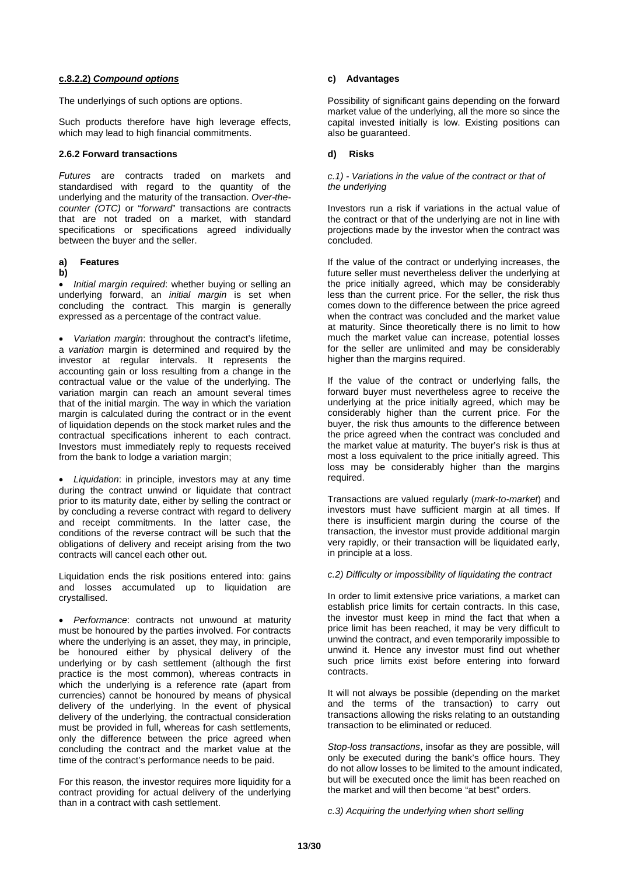#### **c.8.2.2)** *Compound options*

The underlyings of such options are options.

Such products therefore have high leverage effects, which may lead to high financial commitments.

#### **2.6.2 Forward transactions**

*Futures* are contracts traded on markets and standardised with regard to the quantity of the underlying and the maturity of the transaction. *Over-thecounter (OTC)* or "*forward*" transactions are contracts that are not traded on a market, with standard specifications or specifications agreed individually between the buyer and the seller.

#### **a) Features**

#### **b)**

• *Initial margin required*: whether buying or selling an underlying forward, an *initial margin* is set when concluding the contract. This margin is generally expressed as a percentage of the contract value.

• *Variation margin*: throughout the contract's lifetime, a *variation* margin is determined and required by the investor at regular intervals. It represents the accounting gain or loss resulting from a change in the contractual value or the value of the underlying. The variation margin can reach an amount several times that of the initial margin. The way in which the variation margin is calculated during the contract or in the event of liquidation depends on the stock market rules and the contractual specifications inherent to each contract. Investors must immediately reply to requests received from the bank to lodge a variation margin;

• *Liquidation*: in principle, investors may at any time during the contract unwind or liquidate that contract prior to its maturity date, either by selling the contract or by concluding a reverse contract with regard to delivery and receipt commitments. In the latter case, the conditions of the reverse contract will be such that the obligations of delivery and receipt arising from the two contracts will cancel each other out.

Liquidation ends the risk positions entered into: gains and losses accumulated up to liquidation are crystallised.

• *Performance*: contracts not unwound at maturity must be honoured by the parties involved. For contracts where the underlying is an asset, they may, in principle, be honoured either by physical delivery of the underlying or by cash settlement (although the first practice is the most common), whereas contracts in which the underlying is a reference rate (apart from currencies) cannot be honoured by means of physical delivery of the underlying. In the event of physical delivery of the underlying, the contractual consideration must be provided in full, whereas for cash settlements, only the difference between the price agreed when concluding the contract and the market value at the time of the contract's performance needs to be paid.

For this reason, the investor requires more liquidity for a contract providing for actual delivery of the underlying than in a contract with cash settlement.

## **c) Advantages**

Possibility of significant gains depending on the forward market value of the underlying, all the more so since the capital invested initially is low. Existing positions can also be guaranteed.

#### **d) Risks**

#### *c.1) - Variations in the value of the contract or that of the underlying*

Investors run a risk if variations in the actual value of the contract or that of the underlying are not in line with projections made by the investor when the contract was concluded.

If the value of the contract or underlying increases, the future seller must nevertheless deliver the underlying at the price initially agreed, which may be considerably less than the current price. For the seller, the risk thus comes down to the difference between the price agreed when the contract was concluded and the market value at maturity. Since theoretically there is no limit to how much the market value can increase, potential losses for the seller are unlimited and may be considerably higher than the margins required.

If the value of the contract or underlying falls, the forward buyer must nevertheless agree to receive the underlying at the price initially agreed, which may be considerably higher than the current price. For the buyer, the risk thus amounts to the difference between the price agreed when the contract was concluded and the market value at maturity. The buyer's risk is thus at most a loss equivalent to the price initially agreed. This loss may be considerably higher than the margins required.

Transactions are valued regularly (*mark-to-market*) and investors must have sufficient margin at all times. If there is insufficient margin during the course of the transaction, the investor must provide additional margin very rapidly, or their transaction will be liquidated early, in principle at a loss.

#### *c.2) Difficulty or impossibility of liquidating the contract*

In order to limit extensive price variations, a market can establish price limits for certain contracts. In this case, the investor must keep in mind the fact that when a price limit has been reached, it may be very difficult to unwind the contract, and even temporarily impossible to unwind it. Hence any investor must find out whether such price limits exist before entering into forward contracts.

It will not always be possible (depending on the market and the terms of the transaction) to carry out transactions allowing the risks relating to an outstanding transaction to be eliminated or reduced.

*Stop-loss transactions*, insofar as they are possible, will only be executed during the bank's office hours. They do not allow losses to be limited to the amount indicated, but will be executed once the limit has been reached on the market and will then become "at best" orders.

*c.3) Acquiring the underlying when short selling*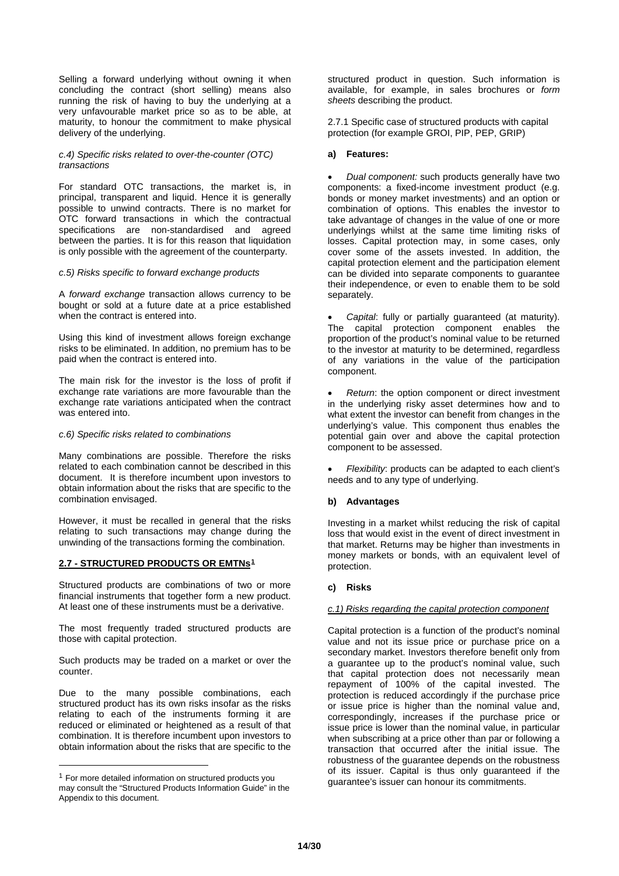Selling a forward underlying without owning it when concluding the contract (short selling) means also running the risk of having to buy the underlying at a very unfavourable market price so as to be able, at maturity, to honour the commitment to make physical delivery of the underlying.

## *c.4) Specific risks related to over-the-counter (OTC) transactions*

For standard OTC transactions, the market is, in principal, transparent and liquid. Hence it is generally possible to unwind contracts. There is no market for OTC forward transactions in which the contractual specifications are non-standardised and agreed between the parties. It is for this reason that liquidation is only possible with the agreement of the counterparty.

## *c.5) Risks specific to forward exchange products*

A *forward exchange* transaction allows currency to be bought or sold at a future date at a price established when the contract is entered into.

Using this kind of investment allows foreign exchange risks to be eliminated. In addition, no premium has to be paid when the contract is entered into.

The main risk for the investor is the loss of profit if exchange rate variations are more favourable than the exchange rate variations anticipated when the contract was entered into.

#### *c.6) Specific risks related to combinations*

Many combinations are possible. Therefore the risks related to each combination cannot be described in this document. It is therefore incumbent upon investors to obtain information about the risks that are specific to the combination envisaged.

However, it must be recalled in general that the risks relating to such transactions may change during the unwinding of the transactions forming the combination.

#### **2.7 - STRUCTURED PRODUCTS OR EMTNs[1](#page-13-0)**

Structured products are combinations of two or more financial instruments that together form a new product. At least one of these instruments must be a derivative.

The most frequently traded structured products are those with capital protection.

Such products may be traded on a market or over the counter.

Due to the many possible combinations, each structured product has its own risks insofar as the risks relating to each of the instruments forming it are reduced or eliminated or heightened as a result of that combination. It is therefore incumbent upon investors to obtain information about the risks that are specific to the

structured product in question. Such information is available, for example, in sales brochures or *form sheets* describing the product.

2.7.1 Specific case of structured products with capital protection (for example GROI, PIP, PEP, GRIP)

#### **a) Features:**

• *Dual component:* such products generally have two components: a fixed-income investment product (e.g. bonds or money market investments) and an option or combination of options. This enables the investor to take advantage of changes in the value of one or more underlyings whilst at the same time limiting risks of losses. Capital protection may, in some cases, only cover some of the assets invested. In addition, the capital protection element and the participation element can be divided into separate components to guarantee their independence, or even to enable them to be sold separately.

• *Capital*: fully or partially guaranteed (at maturity). The capital protection component enables the proportion of the product's nominal value to be returned to the investor at maturity to be determined, regardless of any variations in the value of the participation component.

• *Return*: the option component or direct investment in the underlying risky asset determines how and to what extent the investor can benefit from changes in the underlying's value. This component thus enables the potential gain over and above the capital protection component to be assessed.

• *Flexibility*: products can be adapted to each client's needs and to any type of underlying.

#### **b) Advantages**

Investing in a market whilst reducing the risk of capital loss that would exist in the event of direct investment in that market. Returns may be higher than investments in money markets or bonds, with an equivalent level of protection.

#### **c) Risks**

#### *c.1) Risks regarding the capital protection component*

Capital protection is a function of the product's nominal value and not its issue price or purchase price on a secondary market. Investors therefore benefit only from a guarantee up to the product's nominal value, such that capital protection does not necessarily mean repayment of 100% of the capital invested. The protection is reduced accordingly if the purchase price or issue price is higher than the nominal value and, correspondingly, increases if the purchase price or issue price is lower than the nominal value, in particular when subscribing at a price other than par or following a transaction that occurred after the initial issue. The robustness of the guarantee depends on the robustness of its issuer. Capital is thus only guaranteed if the guarantee's issuer can honour its commitments.

<span id="page-13-0"></span> $1$  For more detailed information on structured products you may consult the "Structured Products Information Guide" in the Appendix to this document.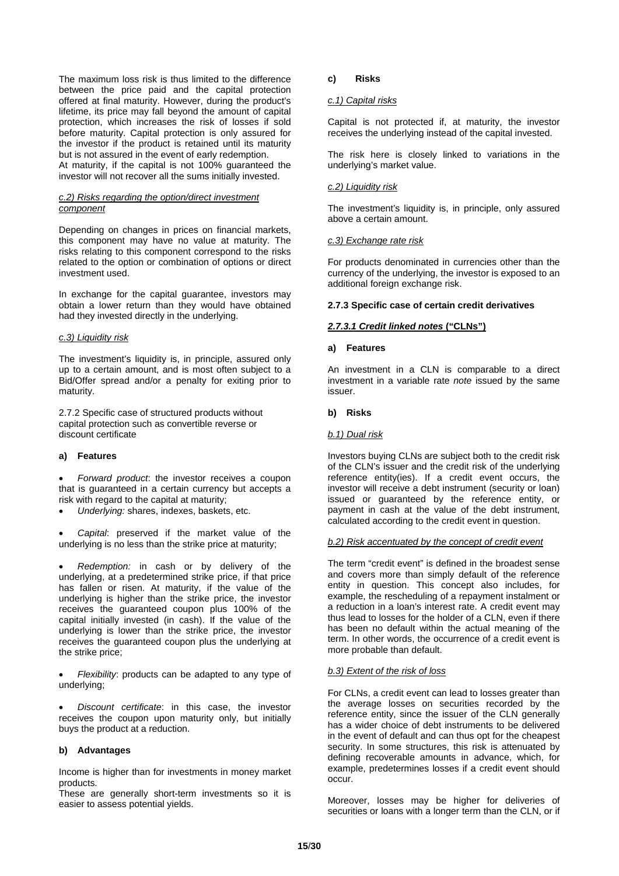The maximum loss risk is thus limited to the difference between the price paid and the capital protection offered at final maturity. However, during the product's lifetime, its price may fall beyond the amount of capital protection, which increases the risk of losses if sold before maturity. Capital protection is only assured for the investor if the product is retained until its maturity but is not assured in the event of early redemption. At maturity, if the capital is not 100% guaranteed the investor will not recover all the sums initially invested.

#### *c.2) Risks regarding the option/direct investment component*

Depending on changes in prices on financial markets, this component may have no value at maturity. The risks relating to this component correspond to the risks related to the option or combination of options or direct investment used.

In exchange for the capital guarantee, investors may obtain a lower return than they would have obtained had they invested directly in the underlying.

#### *c.3) Liquidity risk*

The investment's liquidity is, in principle, assured only up to a certain amount, and is most often subject to a Bid/Offer spread and/or a penalty for exiting prior to maturity.

2.7.2 Specific case of structured products without capital protection such as convertible reverse or discount certificate

#### **a) Features**

• *Forward product*: the investor receives a coupon that is guaranteed in a certain currency but accepts a risk with regard to the capital at maturity;

• *Underlying:* shares, indexes, baskets, etc.

• *Capital*: preserved if the market value of the underlying is no less than the strike price at maturity;

• *Redemption:* in cash or by delivery of the underlying, at a predetermined strike price, if that price has fallen or risen. At maturity, if the value of the underlying is higher than the strike price, the investor receives the guaranteed coupon plus 100% of the capital initially invested (in cash). If the value of the underlying is lower than the strike price, the investor receives the guaranteed coupon plus the underlying at the strike price;

• *Flexibility*: products can be adapted to any type of underlying;

• *Discount certificate*: in this case, the investor receives the coupon upon maturity only, but initially buys the product at a reduction.

#### **b) Advantages**

Income is higher than for investments in money market products.

These are generally short-term investments so it is easier to assess potential yields.

#### **c) Risks**

## *c.1) Capital risks*

Capital is not protected if, at maturity, the investor receives the underlying instead of the capital invested.

The risk here is closely linked to variations in the underlying's market value.

#### *c.2) Liquidity risk*

The investment's liquidity is, in principle, only assured above a certain amount.

#### *c.3) Exchange rate risk*

For products denominated in currencies other than the currency of the underlying, the investor is exposed to an additional foreign exchange risk.

## **2.7.3 Specific case of certain credit derivatives**

#### *2.7.3.1 Credit linked notes* **("CLNs")**

#### **a) Features**

An investment in a CLN is comparable to a direct investment in a variable rate *note* issued by the same issuer.

#### **b) Risks**

#### *b.1) Dual risk*

Investors buying CLNs are subject both to the credit risk of the CLN's issuer and the credit risk of the underlying reference entity(ies). If a credit event occurs, the investor will receive a debt instrument (security or loan) issued or guaranteed by the reference entity, or payment in cash at the value of the debt instrument, calculated according to the credit event in question.

#### *b.2) Risk accentuated by the concept of credit event*

The term "credit event" is defined in the broadest sense and covers more than simply default of the reference entity in question. This concept also includes, for example, the rescheduling of a repayment instalment or a reduction in a loan's interest rate. A credit event may thus lead to losses for the holder of a CLN, even if there has been no default within the actual meaning of the term. In other words, the occurrence of a credit event is more probable than default.

#### *b.3) Extent of the risk of loss*

For CLNs, a credit event can lead to losses greater than the average losses on securities recorded by the reference entity, since the issuer of the CLN generally has a wider choice of debt instruments to be delivered in the event of default and can thus opt for the cheapest security. In some structures, this risk is attenuated by defining recoverable amounts in advance, which, for example, predetermines losses if a credit event should occur.

Moreover, losses may be higher for deliveries of securities or loans with a longer term than the CLN, or if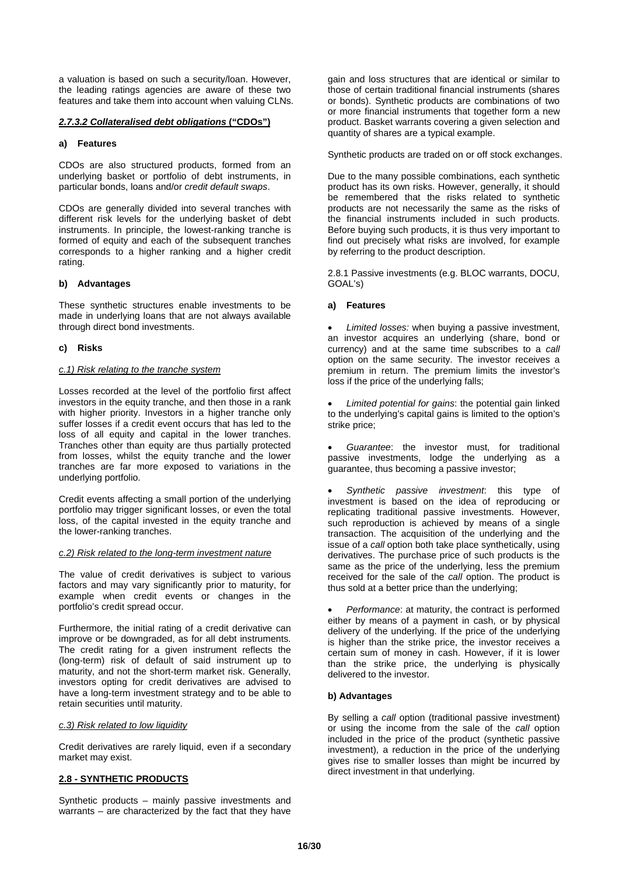a valuation is based on such a security/loan. However, the leading ratings agencies are aware of these two features and take them into account when valuing CLNs.

## *2.7.3.2 Collateralised debt obligations* **("CDOs")**

## **a) Features**

CDOs are also structured products, formed from an underlying basket or portfolio of debt instruments, in particular bonds, loans and/or *credit default swaps*.

CDOs are generally divided into several tranches with different risk levels for the underlying basket of debt instruments. In principle, the lowest-ranking tranche is formed of equity and each of the subsequent tranches corresponds to a higher ranking and a higher credit rating.

## **b) Advantages**

These synthetic structures enable investments to be made in underlying loans that are not always available through direct bond investments.

## **c) Risks**

#### *c.1) Risk relating to the tranche system*

Losses recorded at the level of the portfolio first affect investors in the equity tranche, and then those in a rank with higher priority. Investors in a higher tranche only suffer losses if a credit event occurs that has led to the loss of all equity and capital in the lower tranches. Tranches other than equity are thus partially protected from losses, whilst the equity tranche and the lower tranches are far more exposed to variations in the underlying portfolio.

Credit events affecting a small portion of the underlying portfolio may trigger significant losses, or even the total loss, of the capital invested in the equity tranche and the lower-ranking tranches.

#### *c.2) Risk related to the long-term investment nature*

The value of credit derivatives is subject to various factors and may vary significantly prior to maturity, for example when credit events or changes in the portfolio's credit spread occur.

Furthermore, the initial rating of a credit derivative can improve or be downgraded, as for all debt instruments. The credit rating for a given instrument reflects the (long-term) risk of default of said instrument up to maturity, and not the short-term market risk. Generally, investors opting for credit derivatives are advised to have a long-term investment strategy and to be able to retain securities until maturity.

#### *c.3) Risk related to low liquidity*

Credit derivatives are rarely liquid, even if a secondary market may exist.

#### **2.8 - SYNTHETIC PRODUCTS**

Synthetic products – mainly passive investments and warrants – are characterized by the fact that they have

gain and loss structures that are identical or similar to those of certain traditional financial instruments (shares or bonds). Synthetic products are combinations of two or more financial instruments that together form a new product. Basket warrants covering a given selection and quantity of shares are a typical example.

Synthetic products are traded on or off stock exchanges.

Due to the many possible combinations, each synthetic product has its own risks. However, generally, it should be remembered that the risks related to synthetic products are not necessarily the same as the risks of the financial instruments included in such products. Before buying such products, it is thus very important to find out precisely what risks are involved, for example by referring to the product description.

2.8.1 Passive investments (e.g. BLOC warrants, DOCU, GOAL's)

#### **a) Features**

• *Limited losses:* when buying a passive investment, an investor acquires an underlying (share, bond or currency) and at the same time subscribes to a *call* option on the same security. The investor receives a premium in return. The premium limits the investor's loss if the price of the underlying falls;

• *Limited potential for gains*: the potential gain linked to the underlying's capital gains is limited to the option's strike price;

• *Guarantee*: the investor must, for traditional passive investments, lodge the underlying as a guarantee, thus becoming a passive investor;

• *Synthetic passive investment*: this type of investment is based on the idea of reproducing or replicating traditional passive investments. However, such reproduction is achieved by means of a single transaction. The acquisition of the underlying and the issue of a *call* option both take place synthetically, using derivatives. The purchase price of such products is the same as the price of the underlying, less the premium received for the sale of the *call* option. The product is thus sold at a better price than the underlying;

• *Performance*: at maturity, the contract is performed either by means of a payment in cash, or by physical delivery of the underlying. If the price of the underlying is higher than the strike price, the investor receives a certain sum of money in cash. However, if it is lower than the strike price, the underlying is physically delivered to the investor.

#### **b) Advantages**

By selling a *call* option (traditional passive investment) or using the income from the sale of the *call* option included in the price of the product (synthetic passive investment), a reduction in the price of the underlying gives rise to smaller losses than might be incurred by direct investment in that underlying.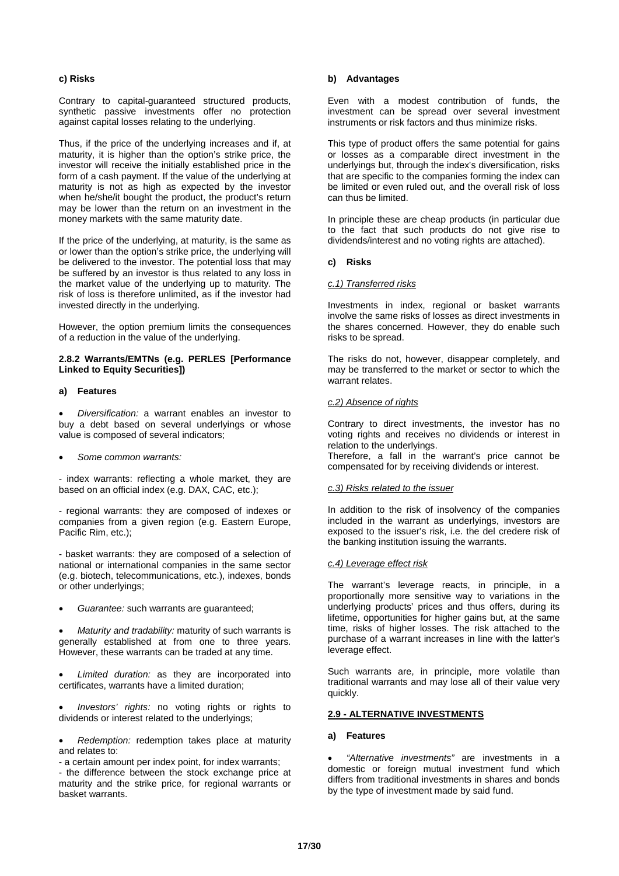#### **c) Risks**

Contrary to capital-guaranteed structured products, synthetic passive investments offer no protection against capital losses relating to the underlying.

Thus, if the price of the underlying increases and if, at maturity, it is higher than the option's strike price, the investor will receive the initially established price in the form of a cash payment. If the value of the underlying at maturity is not as high as expected by the investor when he/she/it bought the product, the product's return may be lower than the return on an investment in the money markets with the same maturity date.

If the price of the underlying, at maturity, is the same as or lower than the option's strike price, the underlying will be delivered to the investor. The potential loss that may be suffered by an investor is thus related to any loss in the market value of the underlying up to maturity. The risk of loss is therefore unlimited, as if the investor had invested directly in the underlying.

However, the option premium limits the consequences of a reduction in the value of the underlying.

## **2.8.2 Warrants/EMTNs (e.g. PERLES [Performance Linked to Equity Securities])**

## **a) Features**

• *Diversification:* a warrant enables an investor to buy a debt based on several underlyings or whose value is composed of several indicators;

#### • *Some common warrants:*

- index warrants: reflecting a whole market, they are based on an official index (e.g. DAX, CAC, etc.);

- regional warrants: they are composed of indexes or companies from a given region (e.g. Eastern Europe, Pacific Rim, etc.);

- basket warrants: they are composed of a selection of national or international companies in the same sector (e.g. biotech, telecommunications, etc.), indexes, bonds or other underlyings;

• *Guarantee:* such warrants are guaranteed;

• *Maturity and tradability:* maturity of such warrants is generally established at from one to three years. However, these warrants can be traded at any time.

• *Limited duration:* as they are incorporated into certificates, warrants have a limited duration;

• *Investors' rights:* no voting rights or rights to dividends or interest related to the underlyings;

• *Redemption:* redemption takes place at maturity and relates to:

- a certain amount per index point, for index warrants;

- the difference between the stock exchange price at maturity and the strike price, for regional warrants or basket warrants.

## **b) Advantages**

Even with a modest contribution of funds, the investment can be spread over several investment instruments or risk factors and thus minimize risks.

This type of product offers the same potential for gains or losses as a comparable direct investment in the underlyings but, through the index's diversification, risks that are specific to the companies forming the index can be limited or even ruled out, and the overall risk of loss can thus be limited.

In principle these are cheap products (in particular due to the fact that such products do not give rise to dividends/interest and no voting rights are attached).

#### **c) Risks**

#### *c.1) Transferred risks*

Investments in index, regional or basket warrants involve the same risks of losses as direct investments in the shares concerned. However, they do enable such risks to be spread.

The risks do not, however, disappear completely, and may be transferred to the market or sector to which the warrant relates.

#### *c.2) Absence of rights*

Contrary to direct investments, the investor has no voting rights and receives no dividends or interest in relation to the underlyings.

Therefore, a fall in the warrant's price cannot be compensated for by receiving dividends or interest.

#### *c.3) Risks related to the issuer*

In addition to the risk of insolvency of the companies included in the warrant as underlyings, investors are exposed to the issuer's risk, i.e. the del credere risk of the banking institution issuing the warrants.

#### *c.4) Leverage effect risk*

The warrant's leverage reacts, in principle, in a proportionally more sensitive way to variations in the underlying products' prices and thus offers, during its lifetime, opportunities for higher gains but, at the same time, risks of higher losses. The risk attached to the purchase of a warrant increases in line with the latter's leverage effect.

Such warrants are, in principle, more volatile than traditional warrants and may lose all of their value very quickly.

#### **2.9 - ALTERNATIVE INVESTMENTS**

#### **a) Features**

• *"Alternative investments"* are investments in a domestic or foreign mutual investment fund which differs from traditional investments in shares and bonds by the type of investment made by said fund.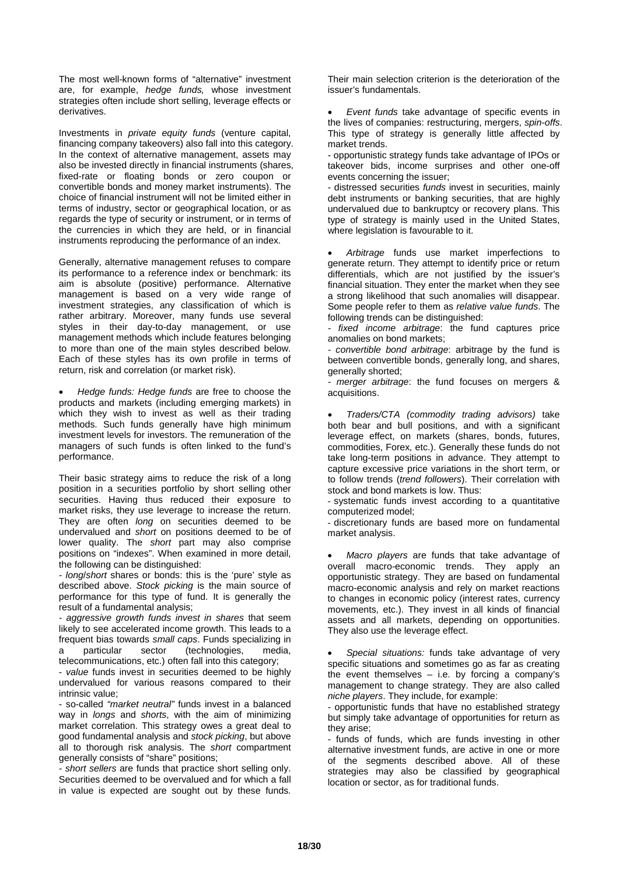The most well-known forms of "alternative" investment are, for example, *hedge funds,* whose investment strategies often include short selling, leverage effects or derivatives.

Investments in *private equity funds* (venture capital, financing company takeovers) also fall into this category. In the context of alternative management, assets may also be invested directly in financial instruments (shares, fixed-rate or floating bonds or zero coupon or convertible bonds and money market instruments). The choice of financial instrument will not be limited either in terms of industry, sector or geographical location, or as regards the type of security or instrument, or in terms of the currencies in which they are held, or in financial instruments reproducing the performance of an index.

Generally, alternative management refuses to compare its performance to a reference index or benchmark: its aim is absolute (positive) performance. Alternative management is based on a very wide range of investment strategies, any classification of which is rather arbitrary. Moreover, many funds use several styles in their day-to-day management, or use management methods which include features belonging to more than one of the main styles described below. Each of these styles has its own profile in terms of return, risk and correlation (or market risk).

• *Hedge funds: Hedge funds* are free to choose the products and markets (including emerging markets) in which they wish to invest as well as their trading methods. Such funds generally have high minimum investment levels for investors. The remuneration of the managers of such funds is often linked to the fund's performance.

Their basic strategy aims to reduce the risk of a long position in a securities portfolio by short selling other securities. Having thus reduced their exposure to market risks, they use leverage to increase the return. They are often *long* on securities deemed to be undervalued and *short* on positions deemed to be of lower quality. The *short* part may also comprise positions on "indexes". When examined in more detail, the following can be distinguished:

*- long*/*short* shares or bonds: this is the 'pure' style as described above. *Stock picking* is the main source of performance for this type of fund. It is generally the result of a fundamental analysis;

*- aggressive growth funds invest in shares* that seem likely to see accelerated income growth. This leads to a frequent bias towards *small caps*. Funds specializing in a particular sector (technologies, media, telecommunications, etc.) often fall into this category;

- *value* funds invest in securities deemed to be highly undervalued for various reasons compared to their intrinsic value;

- so-called *"market neutral"* funds invest in a balanced way in *longs* and *shorts*, with the aim of minimizing market correlation. This strategy owes a great deal to good fundamental analysis and *stock picking*, but above all to thorough risk analysis. The *short* compartment generally consists of "share" positions;

*- short sellers* are funds that practice short selling only. Securities deemed to be overvalued and for which a fall in value is expected are sought out by these funds.

Their main selection criterion is the deterioration of the issuer's fundamentals.

• *Event funds* take advantage of specific events in the lives of companies: restructuring, mergers, *spin*-*offs*. This type of strategy is generally little affected by market trends.

- opportunistic strategy funds take advantage of IPOs or takeover bids, income surprises and other one-off events concerning the issuer;

- distressed securities *funds* invest in securities, mainly debt instruments or banking securities, that are highly undervalued due to bankruptcy or recovery plans. This type of strategy is mainly used in the United States, where legislation is favourable to it.

• *Arbitrage* funds use market imperfections to generate return. They attempt to identify price or return differentials, which are not justified by the issuer's financial situation. They enter the market when they see a strong likelihood that such anomalies will disappear. Some people refer to them as *relative value funds*. The following trends can be distinguished:

*- fixed income arbitrage*: the fund captures price anomalies on bond markets;

*- convertible bond arbitrage*: arbitrage by the fund is between convertible bonds, generally long, and shares, generally shorted;

*- merger arbitrage*: the fund focuses on mergers & acquisitions.

• *Traders/CTA (commodity trading advisors)* take both bear and bull positions, and with a significant leverage effect, on markets (shares, bonds, futures, commodities, Forex, etc.). Generally these funds do not take long-term positions in advance. They attempt to capture excessive price variations in the short term, or to follow trends (*trend followers*). Their correlation with stock and bond markets is low. Thus:

- systematic funds invest according to a quantitative computerized model;

- discretionary funds are based more on fundamental market analysis.

• *Macro players* are funds that take advantage of overall macro-economic trends. They apply an opportunistic strategy. They are based on fundamental macro-economic analysis and rely on market reactions to changes in economic policy (interest rates, currency movements, etc.). They invest in all kinds of financial assets and all markets, depending on opportunities. They also use the leverage effect.

• *Special situations:* funds take advantage of very specific situations and sometimes go as far as creating the event themselves  $-$  i.e. by forcing a company's management to change strategy. They are also called *niche players*. They include, for example:

- opportunistic funds that have no established strategy but simply take advantage of opportunities for return as they arise;

- funds of funds, which are funds investing in other alternative investment funds, are active in one or more of the segments described above. All of these strategies may also be classified by geographical location or sector, as for traditional funds.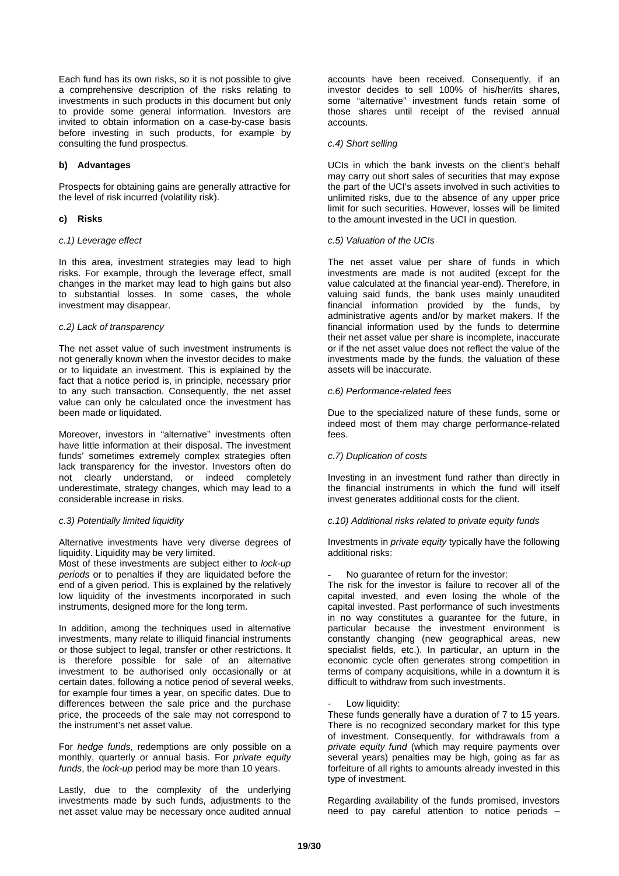Each fund has its own risks, so it is not possible to give a comprehensive description of the risks relating to investments in such products in this document but only to provide some general information. Investors are invited to obtain information on a case-by-case basis before investing in such products, for example by consulting the fund prospectus.

## **b) Advantages**

Prospects for obtaining gains are generally attractive for the level of risk incurred (volatility risk).

#### **c) Risks**

#### *c.1) Leverage effect*

In this area, investment strategies may lead to high risks. For example, through the leverage effect, small changes in the market may lead to high gains but also to substantial losses. In some cases, the whole investment may disappear.

#### *c.2) Lack of transparency*

The net asset value of such investment instruments is not generally known when the investor decides to make or to liquidate an investment. This is explained by the fact that a notice period is, in principle, necessary prior to any such transaction. Consequently, the net asset value can only be calculated once the investment has been made or liquidated.

Moreover, investors in "alternative" investments often have little information at their disposal. The investment funds' sometimes extremely complex strategies often lack transparency for the investor. Investors often do not clearly understand, or indeed completely underestimate, strategy changes, which may lead to a considerable increase in risks.

## *c.3) Potentially limited liquidity*

Alternative investments have very diverse degrees of liquidity. Liquidity may be very limited.

Most of these investments are subject either to *lock-up periods* or to penalties if they are liquidated before the end of a given period. This is explained by the relatively low liquidity of the investments incorporated in such instruments, designed more for the long term.

In addition, among the techniques used in alternative investments, many relate to illiquid financial instruments or those subject to legal, transfer or other restrictions. It is therefore possible for sale of an alternative investment to be authorised only occasionally or at certain dates, following a notice period of several weeks, for example four times a year, on specific dates. Due to differences between the sale price and the purchase price, the proceeds of the sale may not correspond to the instrument's net asset value.

For *hedge funds*, redemptions are only possible on a monthly, quarterly or annual basis. For *private equity funds*, the *lock-up* period may be more than 10 years.

Lastly, due to the complexity of the underlying investments made by such funds, adjustments to the net asset value may be necessary once audited annual

accounts have been received. Consequently, if an investor decides to sell 100% of his/her/its shares, some "alternative" investment funds retain some of those shares until receipt of the revised annual accounts.

#### *c.4) Short selling*

UCIs in which the bank invests on the client's behalf may carry out short sales of securities that may expose the part of the UCI's assets involved in such activities to unlimited risks, due to the absence of any upper price limit for such securities. However, losses will be limited to the amount invested in the UCI in question.

## *c.5) Valuation of the UCIs*

The net asset value per share of funds in which investments are made is not audited (except for the value calculated at the financial year-end). Therefore, in valuing said funds, the bank uses mainly unaudited financial information provided by the funds, by administrative agents and/or by market makers. If the financial information used by the funds to determine their net asset value per share is incomplete, inaccurate or if the net asset value does not reflect the value of the investments made by the funds, the valuation of these assets will be inaccurate.

#### *c.6) Performance-related fees*

Due to the specialized nature of these funds, some or indeed most of them may charge performance-related fees.

#### *c.7) Duplication of costs*

Investing in an investment fund rather than directly in the financial instruments in which the fund will itself invest generates additional costs for the client.

#### *c.10) Additional risks related to private equity funds*

Investments in *private equity* typically have the following additional risks:

#### No guarantee of return for the investor:

The risk for the investor is failure to recover all of the capital invested, and even losing the whole of the capital invested. Past performance of such investments in no way constitutes a guarantee for the future, in particular because the investment environment is constantly changing (new geographical areas, new specialist fields, etc.). In particular, an upturn in the economic cycle often generates strong competition in terms of company acquisitions, while in a downturn it is difficult to withdraw from such investments.

#### Low liquidity:

These funds generally have a duration of 7 to 15 years. There is no recognized secondary market for this type of investment. Consequently, for withdrawals from a *private equity fund* (which may require payments over several years) penalties may be high, going as far as forfeiture of all rights to amounts already invested in this type of investment.

Regarding availability of the funds promised, investors need to pay careful attention to notice periods –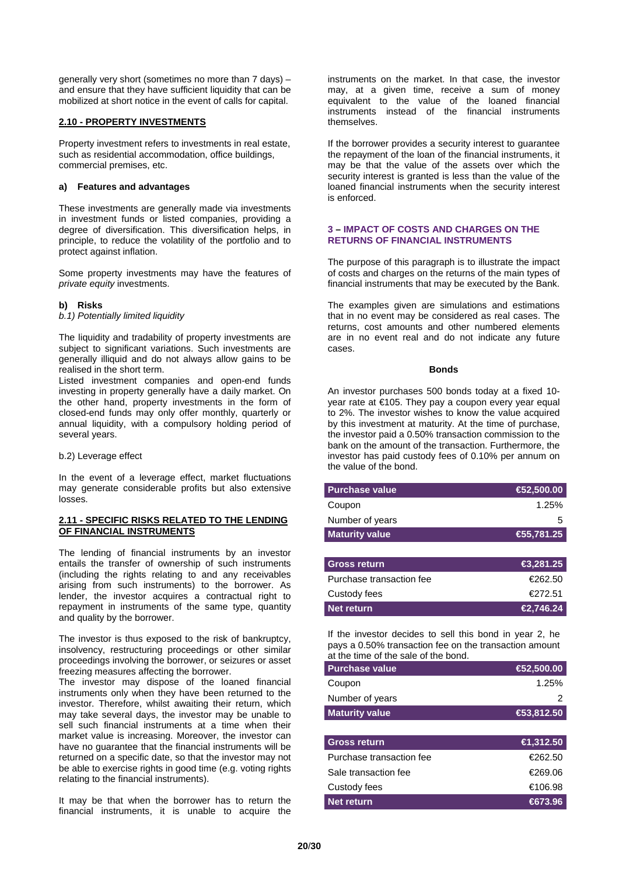generally very short (sometimes no more than 7 days) – and ensure that they have sufficient liquidity that can be mobilized at short notice in the event of calls for capital.

#### **2.10 - PROPERTY INVESTMENTS**

Property investment refers to investments in real estate, such as residential accommodation, office buildings, commercial premises, etc.

## **a) Features and advantages**

These investments are generally made via investments in investment funds or listed companies, providing a degree of diversification. This diversification helps, in principle, to reduce the volatility of the portfolio and to protect against inflation.

Some property investments may have the features of *private equity* investments.

## **b) Risks**

*b.1) Potentially limited liquidity*

The liquidity and tradability of property investments are subject to significant variations. Such investments are generally illiquid and do not always allow gains to be realised in the short term.

Listed investment companies and open-end funds investing in property generally have a daily market. On the other hand, property investments in the form of closed-end funds may only offer monthly, quarterly or annual liquidity, with a compulsory holding period of several years.

b.2) Leverage effect

In the event of a leverage effect, market fluctuations may generate considerable profits but also extensive losses.

#### **2.11 - SPECIFIC RISKS RELATED TO THE LENDING OF FINANCIAL INSTRUMENTS**

The lending of financial instruments by an investor entails the transfer of ownership of such instruments (including the rights relating to and any receivables arising from such instruments) to the borrower. As lender, the investor acquires a contractual right to repayment in instruments of the same type, quantity and quality by the borrower.

The investor is thus exposed to the risk of bankruptcy, insolvency, restructuring proceedings or other similar proceedings involving the borrower, or seizures or asset freezing measures affecting the borrower.

The investor may dispose of the loaned financial instruments only when they have been returned to the investor. Therefore, whilst awaiting their return, which may take several days, the investor may be unable to sell such financial instruments at a time when their market value is increasing. Moreover, the investor can have no guarantee that the financial instruments will be returned on a specific date, so that the investor may not be able to exercise rights in good time (e.g. voting rights relating to the financial instruments).

It may be that when the borrower has to return the financial instruments, it is unable to acquire the

instruments on the market. In that case, the investor may, at a given time, receive a sum of money equivalent to the value of the loaned financial instruments instead of the financial instruments themselves.

If the borrower provides a security interest to guarantee the repayment of the loan of the financial instruments, it may be that the value of the assets over which the security interest is granted is less than the value of the loaned financial instruments when the security interest is enforced.

#### **3 – IMPACT OF COSTS AND CHARGES ON THE RETURNS OF FINANCIAL INSTRUMENTS**

The purpose of this paragraph is to illustrate the impact of costs and charges on the returns of the main types of financial instruments that may be executed by the Bank.

The examples given are simulations and estimations that in no event may be considered as real cases. The returns, cost amounts and other numbered elements are in no event real and do not indicate any future cases.

#### **Bonds**

An investor purchases 500 bonds today at a fixed 10 year rate at €105. They pay a coupon every year equal to 2%. The investor wishes to know the value acquired by this investment at maturity. At the time of purchase, the investor paid a 0.50% transaction commission to the bank on the amount of the transaction. Furthermore, the investor has paid custody fees of 0.10% per annum on the value of the bond.

| <b>Purchase value</b>    | €52,500.00 |
|--------------------------|------------|
| Coupon                   | 1.25%      |
| Number of years          | 5          |
| <b>Maturity value</b>    | €5,781.25  |
|                          |            |
| <b>Gross return</b>      | €3,281.25  |
| Purchase transaction fee | €262.50    |
| Custody fees             | €272.51    |
| <b>Net return</b>        | €2,746.24  |

If the investor decides to sell this bond in year 2, he pays a 0.50% transaction fee on the transaction amount at the time of the sale of the bond.

| <b>Purchase value</b> | $\bigoplus$ 2,500.00 |
|-----------------------|----------------------|
| Coupon                | 1.25%                |
| Number of years       |                      |
| <b>Maturity value</b> | €53,812.50           |

| <b>Gross return</b>      | €1,312.50 |
|--------------------------|-----------|
| Purchase transaction fee | €262.50   |
| Sale transaction fee     | €269.06   |
| Custody fees             | €106.98   |
| Net return               | €673.96   |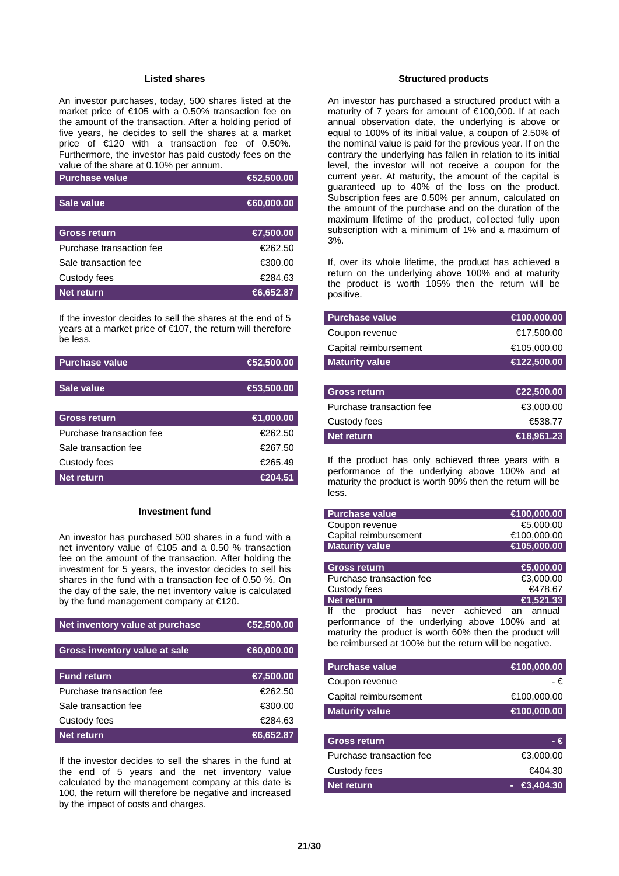#### **Listed shares**

An investor purchases, today, 500 shares listed at the market price of €105 with a 0.50% transaction fee on the amount of the transaction. After a holding period of five years, he decides to sell the shares at a market price of €120 with a transaction fee of 0.50%. Furthermore, the investor has paid custody fees on the value of the share at 0.10% per annum.

| <b>Purchase value</b>    | $\bigoplus$ 2,500.00 |
|--------------------------|----------------------|
|                          |                      |
| Sale value               | €60,000.00           |
|                          |                      |
| <b>Gross return</b>      | €7,500.00            |
| Purchase transaction fee | €262.50              |
| Sale transaction fee     | €300.00              |
| Custody fees             | €284.63              |
| Net return               | $\bigoplus$ ,652.87  |

If the investor decides to sell the shares at the end of 5 years at a market price of €107, the return will therefore be less.

| <b>Purchase value</b>    | €2,500.00  |
|--------------------------|------------|
|                          |            |
| Sale value               | €3,500.00  |
|                          |            |
| <b>Gross return</b>      | ∈ 1,000.00 |
| Purchase transaction fee | €262.50    |
| Sale transaction fee     | €267.50    |
| Custody fees             | €265.49    |
| <b>Net return</b>        | €204.51    |

#### **Investment fund**

An investor has purchased 500 shares in a fund with a net inventory value of €105 and a 0.50 % transaction fee on the amount of the transaction. After holding the investment for 5 years, the investor decides to sell his shares in the fund with a transaction fee of 0.50 %. On the day of the sale, the net inventory value is calculated by the fund management company at €120.

| Net inventory value at purchase      | €2,500.00  |
|--------------------------------------|------------|
|                                      |            |
| <b>Gross inventory value at sale</b> | €60,000.00 |
|                                      |            |
| <b>Fund return</b>                   | €7,500.00  |
| Purchase transaction fee             | €262.50    |
| Sale transaction fee                 | €300.00    |
| Custody fees                         | €284.63    |
| Net return                           | €6,652.87  |

If the investor decides to sell the shares in the fund at the end of 5 years and the net inventory value calculated by the management company at this date is 100, the return will therefore be negative and increased by the impact of costs and charges.

#### **Structured products**

An investor has purchased a structured product with a maturity of 7 years for amount of €100,000. If at each annual observation date, the underlying is above or equal to 100% of its initial value, a coupon of 2.50% of the nominal value is paid for the previous year. If on the contrary the underlying has fallen in relation to its initial level, the investor will not receive a coupon for the current year. At maturity, the amount of the capital is guaranteed up to 40% of the loss on the product. Subscription fees are 0.50% per annum, calculated on the amount of the purchase and on the duration of the maximum lifetime of the product, collected fully upon subscription with a minimum of 1% and a maximum of 3%.

If, over its whole lifetime, the product has achieved a return on the underlying above 100% and at maturity the product is worth 105% then the return will be positive.

| <b>Purchase value</b>    | €100,000.00 |
|--------------------------|-------------|
| Coupon revenue           | €17,500.00  |
| Capital reimbursement    | €105,000.00 |
| <b>Maturity value</b>    | €122,500.00 |
|                          |             |
| <b>Gross return</b>      | €22,500.00  |
| Purchase transaction fee | €3,000.00   |
| Custody fees             | €538.77     |
| <b>Net return</b>        | €18,961.23  |

If the product has only achieved three years with a performance of the underlying above 100% and at maturity the product is worth 90% then the return will be less.

| <b>Purchase value</b>                           | €100,000.00 |
|-------------------------------------------------|-------------|
| Coupon revenue                                  | €5,000.00   |
| Capital reimbursement                           | €100,000.00 |
| <b>Maturity value</b>                           | €105,000.00 |
|                                                 |             |
| <b>Gross return</b>                             | €,000.00    |
| Purchase transaction fee                        | €3,000,00   |
| Custody fees                                    | €478.67     |
| Net return                                      | €1,521.33   |
| product has never achieved an annual<br>If the  |             |
| performance of the underlying above 100% and at |             |

maturity the product is worth 60% then the product will be reimbursed at 100% but the return will be negative.

| <b>Purchase value</b>    | €100,000.00 |
|--------------------------|-------------|
| Coupon revenue           | - €         |
| Capital reimbursement    | €100,000.00 |
| <b>Maturity value</b>    | €100,000.00 |
|                          |             |
| <b>Gross return</b>      | €           |
| Purchase transaction fee | €3,000,00   |

Custody fees  $\epsilon$ 404.30 **Net return a -** €3,404.30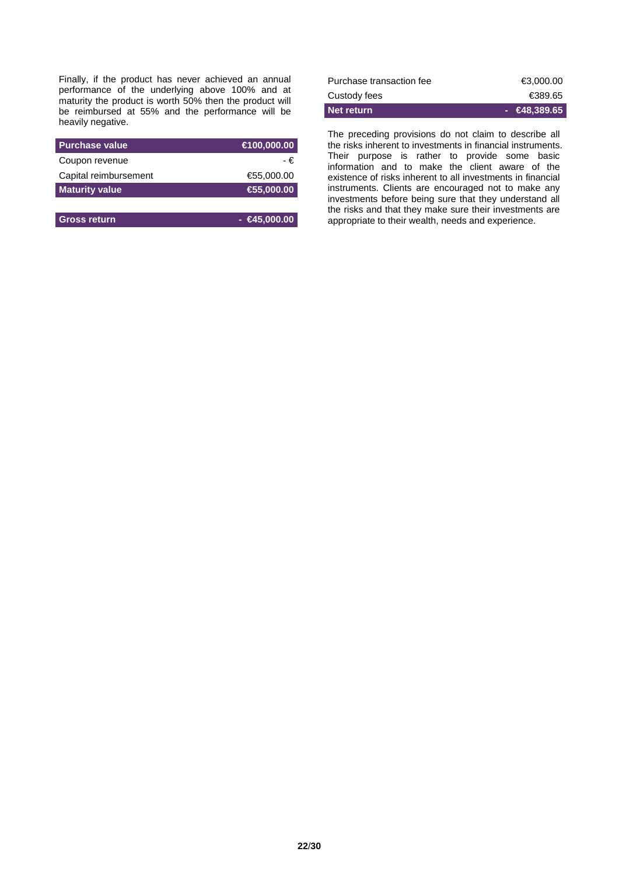Finally, if the product has never achieved an annual performance of the underlying above 100% and at maturity the product is worth 50% then the product will be reimbursed at 55% and the performance will be heavily negative.

| <b>Purchase value</b> | €100,000.00          |
|-----------------------|----------------------|
| Coupon revenue        | - €                  |
| Capital reimbursement | €55,000.00           |
| <b>Maturity value</b> | $\bigoplus$ 5,000.00 |
|                       |                      |

| <b>Gross return</b> | $ \epsilon$ 45,000.00 |
|---------------------|-----------------------|
|                     |                       |

| Net return               | $ \bigoplus$ 8.389.65 |
|--------------------------|-----------------------|
| Custody fees             | €389.65               |
| Purchase transaction fee | €3.000.00             |

The preceding provisions do not claim to describe all the risks inherent to investments in financial instruments. Their purpose is rather to provide some basic information and to make the client aware of the existence of risks inherent to all investments in financial instruments. Clients are encouraged not to make any investments before being sure that they understand all the risks and that they make sure their investments are appropriate to their wealth, needs and experience.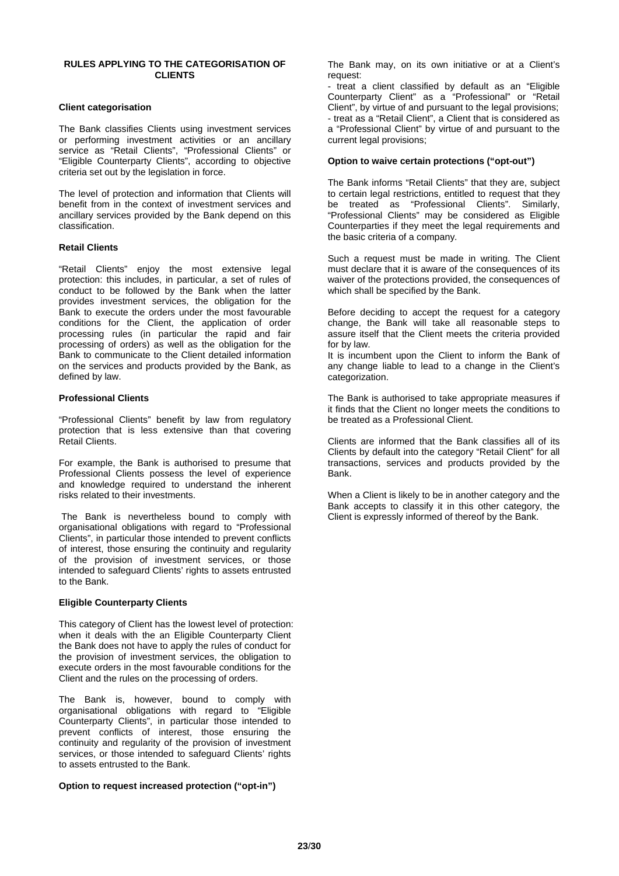#### **RULES APPLYING TO THE CATEGORISATION OF CLIENTS**

#### **Client categorisation**

The Bank classifies Clients using investment services or performing investment activities or an ancillary service as "Retail Clients", "Professional Clients" or "Eligible Counterparty Clients", according to objective criteria set out by the legislation in force.

The level of protection and information that Clients will benefit from in the context of investment services and ancillary services provided by the Bank depend on this classification.

#### **Retail Clients**

"Retail Clients" enjoy the most extensive legal protection: this includes, in particular, a set of rules of conduct to be followed by the Bank when the latter provides investment services, the obligation for the Bank to execute the orders under the most favourable conditions for the Client, the application of order processing rules (in particular the rapid and fair processing of orders) as well as the obligation for the Bank to communicate to the Client detailed information on the services and products provided by the Bank, as defined by law.

#### **Professional Clients**

"Professional Clients" benefit by law from regulatory protection that is less extensive than that covering Retail Clients.

For example, the Bank is authorised to presume that Professional Clients possess the level of experience and knowledge required to understand the inherent risks related to their investments.

The Bank is nevertheless bound to comply with organisational obligations with regard to "Professional Clients", in particular those intended to prevent conflicts of interest, those ensuring the continuity and regularity of the provision of investment services, or those intended to safeguard Clients' rights to assets entrusted to the Bank.

#### **Eligible Counterparty Clients**

This category of Client has the lowest level of protection: when it deals with the an Eligible Counterparty Client the Bank does not have to apply the rules of conduct for the provision of investment services, the obligation to execute orders in the most favourable conditions for the Client and the rules on the processing of orders.

The Bank is, however, bound to comply with organisational obligations with regard to "Eligible Counterparty Clients", in particular those intended to prevent conflicts of interest, those ensuring the continuity and regularity of the provision of investment services, or those intended to safeguard Clients' rights to assets entrusted to the Bank.

#### **Option to request increased protection ("opt-in")**

The Bank may, on its own initiative or at a Client's request:

- treat a client classified by default as an "Eligible Counterparty Client" as a "Professional" or "Retail Client", by virtue of and pursuant to the legal provisions; - treat as a "Retail Client", a Client that is considered as a "Professional Client" by virtue of and pursuant to the current legal provisions;

#### **Option to waive certain protections ("opt-out")**

The Bank informs "Retail Clients" that they are, subject to certain legal restrictions, entitled to request that they be treated as "Professional Clients". Similarly, "Professional Clients" may be considered as Eligible Counterparties if they meet the legal requirements and the basic criteria of a company.

Such a request must be made in writing. The Client must declare that it is aware of the consequences of its waiver of the protections provided, the consequences of which shall be specified by the Bank.

Before deciding to accept the request for a category change, the Bank will take all reasonable steps to assure itself that the Client meets the criteria provided for by law.

It is incumbent upon the Client to inform the Bank of any change liable to lead to a change in the Client's categorization.

The Bank is authorised to take appropriate measures if it finds that the Client no longer meets the conditions to be treated as a Professional Client.

Clients are informed that the Bank classifies all of its Clients by default into the category "Retail Client" for all transactions, services and products provided by the Bank.

When a Client is likely to be in another category and the Bank accepts to classify it in this other category, the Client is expressly informed of thereof by the Bank.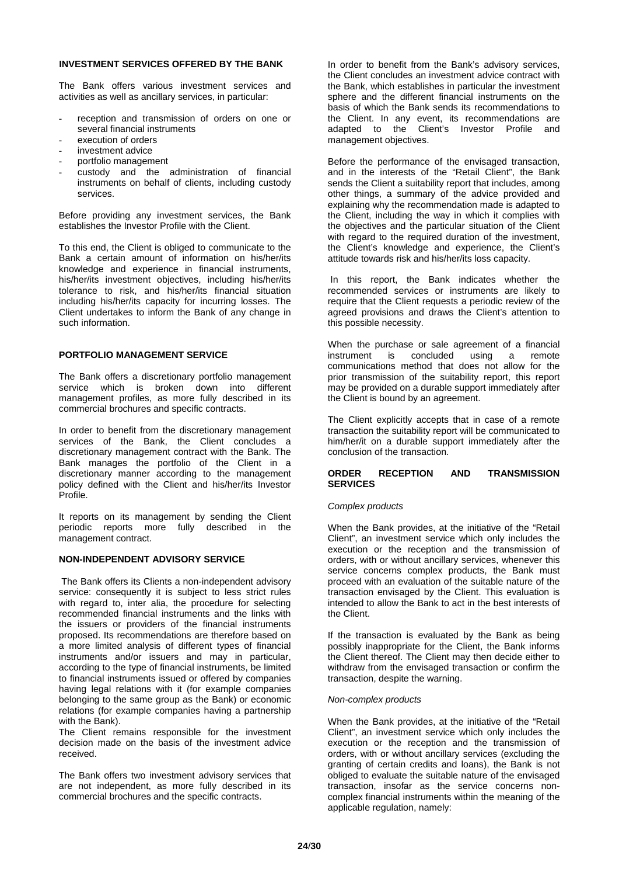## **INVESTMENT SERVICES OFFERED BY THE BANK**

The Bank offers various investment services and activities as well as ancillary services, in particular:

- reception and transmission of orders on one or several financial instruments
- execution of orders
- investment advice
- portfolio management
- custody and the administration of financial instruments on behalf of clients, including custody services.

Before providing any investment services, the Bank establishes the Investor Profile with the Client.

To this end, the Client is obliged to communicate to the Bank a certain amount of information on his/her/its knowledge and experience in financial instruments, his/her/its investment objectives, including his/her/its tolerance to risk, and his/her/its financial situation including his/her/its capacity for incurring losses. The Client undertakes to inform the Bank of any change in such information.

## **PORTFOLIO MANAGEMENT SERVICE**

The Bank offers a discretionary portfolio management service which is broken down into different management profiles, as more fully described in its commercial brochures and specific contracts.

In order to benefit from the discretionary management services of the Bank, the Client concludes a discretionary management contract with the Bank. The Bank manages the portfolio of the Client in a discretionary manner according to the management policy defined with the Client and his/her/its Investor Profile.

It reports on its management by sending the Client<br>periodic reports more fully described in the periodic reports more fully management contract.

#### **NON-INDEPENDENT ADVISORY SERVICE**

The Bank offers its Clients a non-independent advisory service: consequently it is subject to less strict rules with regard to, inter alia, the procedure for selecting recommended financial instruments and the links with the issuers or providers of the financial instruments proposed. Its recommendations are therefore based on a more limited analysis of different types of financial instruments and/or issuers and may in particular, according to the type of financial instruments, be limited to financial instruments issued or offered by companies having legal relations with it (for example companies belonging to the same group as the Bank) or economic relations (for example companies having a partnership with the Bank).

The Client remains responsible for the investment decision made on the basis of the investment advice received.

The Bank offers two investment advisory services that are not independent, as more fully described in its commercial brochures and the specific contracts.

In order to benefit from the Bank's advisory services, the Client concludes an investment advice contract with the Bank, which establishes in particular the investment sphere and the different financial instruments on the basis of which the Bank sends its recommendations to the Client. In any event, its recommendations are adapted to the Client's Investor Profile and management objectives.

Before the performance of the envisaged transaction, and in the interests of the "Retail Client", the Bank sends the Client a suitability report that includes, among other things, a summary of the advice provided and explaining why the recommendation made is adapted to the Client, including the way in which it complies with the objectives and the particular situation of the Client with regard to the required duration of the investment. the Client's knowledge and experience, the Client's attitude towards risk and his/her/its loss capacity.

In this report, the Bank indicates whether the recommended services or instruments are likely to require that the Client requests a periodic review of the agreed provisions and draws the Client's attention to this possible necessity.

When the purchase or sale agreement of a financial<br>instrument is concluded using a remote instrument is concluded using a remote communications method that does not allow for the prior transmission of the suitability report, this report may be provided on a durable support immediately after the Client is bound by an agreement.

The Client explicitly accepts that in case of a remote transaction the suitability report will be communicated to him/her/it on a durable support immediately after the conclusion of the transaction.

#### **ORDER RECEPTION AND TRANSMISSION SERVICES**

#### *Complex products*

When the Bank provides, at the initiative of the "Retail Client", an investment service which only includes the execution or the reception and the transmission of orders, with or without ancillary services, whenever this service concerns complex products, the Bank must proceed with an evaluation of the suitable nature of the transaction envisaged by the Client. This evaluation is intended to allow the Bank to act in the best interests of the Client.

If the transaction is evaluated by the Bank as being possibly inappropriate for the Client, the Bank informs the Client thereof. The Client may then decide either to withdraw from the envisaged transaction or confirm the transaction, despite the warning.

#### *Non-complex products*

When the Bank provides, at the initiative of the "Retail Client", an investment service which only includes the execution or the reception and the transmission of orders, with or without ancillary services (excluding the granting of certain credits and loans), the Bank is not obliged to evaluate the suitable nature of the envisaged transaction, insofar as the service concerns noncomplex financial instruments within the meaning of the applicable regulation, namely: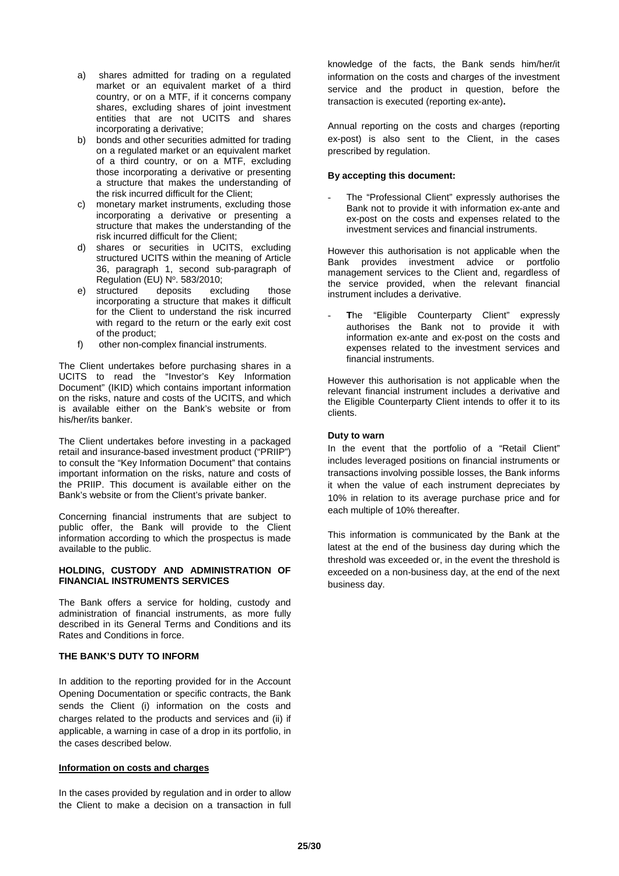- a) shares admitted for trading on a regulated market or an equivalent market of a third country, or on a MTF, if it concerns company shares, excluding shares of joint investment entities that are not UCITS and shares incorporating a derivative;
- b) bonds and other securities admitted for trading on a regulated market or an equivalent market of a third country, or on a MTF, excluding those incorporating a derivative or presenting a structure that makes the understanding of the risk incurred difficult for the Client;
- c) monetary market instruments, excluding those incorporating a derivative or presenting a structure that makes the understanding of the risk incurred difficult for the Client;
- d) shares or securities in UCITS, excluding structured UCITS within the meaning of Article 36, paragraph 1, second sub-paragraph of Regulation (EU) Nº. 583/2010;
- e) structured deposits excluding those incorporating a structure that makes it difficult for the Client to understand the risk incurred with regard to the return or the early exit cost of the product;
- f) other non-complex financial instruments.

The Client undertakes before purchasing shares in a UCITS to read the "Investor's Key Information Document" (IKID) which contains important information on the risks, nature and costs of the UCITS, and which is available either on the Bank's website or from his/her/its banker.

The Client undertakes before investing in a packaged retail and insurance-based investment product ("PRIIP") to consult the "Key Information Document" that contains important information on the risks, nature and costs of the PRIIP. This document is available either on the Bank's website or from the Client's private banker.

Concerning financial instruments that are subject to public offer, the Bank will provide to the Client information according to which the prospectus is made available to the public.

#### **HOLDING, CUSTODY AND ADMINISTRATION OF FINANCIAL INSTRUMENTS SERVICES**

The Bank offers a service for holding, custody and administration of financial instruments, as more fully described in its General Terms and Conditions and its Rates and Conditions in force.

## **THE BANK'S DUTY TO INFORM**

In addition to the reporting provided for in the Account Opening Documentation or specific contracts, the Bank sends the Client (i) information on the costs and charges related to the products and services and (ii) if applicable, a warning in case of a drop in its portfolio, in the cases described below.

#### **Information on costs and charges**

In the cases provided by regulation and in order to allow the Client to make a decision on a transaction in full

knowledge of the facts, the Bank sends him/her/it information on the costs and charges of the investment service and the product in question, before the transaction is executed (reporting ex-ante)**.** 

Annual reporting on the costs and charges (reporting ex-post) is also sent to the Client, in the cases prescribed by regulation.

## **By accepting this document:**

The "Professional Client" expressly authorises the Bank not to provide it with information ex-ante and ex-post on the costs and expenses related to the investment services and financial instruments.

However this authorisation is not applicable when the<br>Bank provides investment advice or portfolio Bank provides investment advice or management services to the Client and, regardless of the service provided, when the relevant financial instrument includes a derivative.

The "Eligible Counterparty Client" expressly authorises the Bank not to provide it with information ex-ante and ex-post on the costs and expenses related to the investment services and financial instruments.

However this authorisation is not applicable when the relevant financial instrument includes a derivative and the Eligible Counterparty Client intends to offer it to its clients.

## **Duty to warn**

In the event that the portfolio of a "Retail Client" includes leveraged positions on financial instruments or transactions involving possible losses, the Bank informs it when the value of each instrument depreciates by 10% in relation to its average purchase price and for each multiple of 10% thereafter.

This information is communicated by the Bank at the latest at the end of the business day during which the threshold was exceeded or, in the event the threshold is exceeded on a non-business day, at the end of the next business day.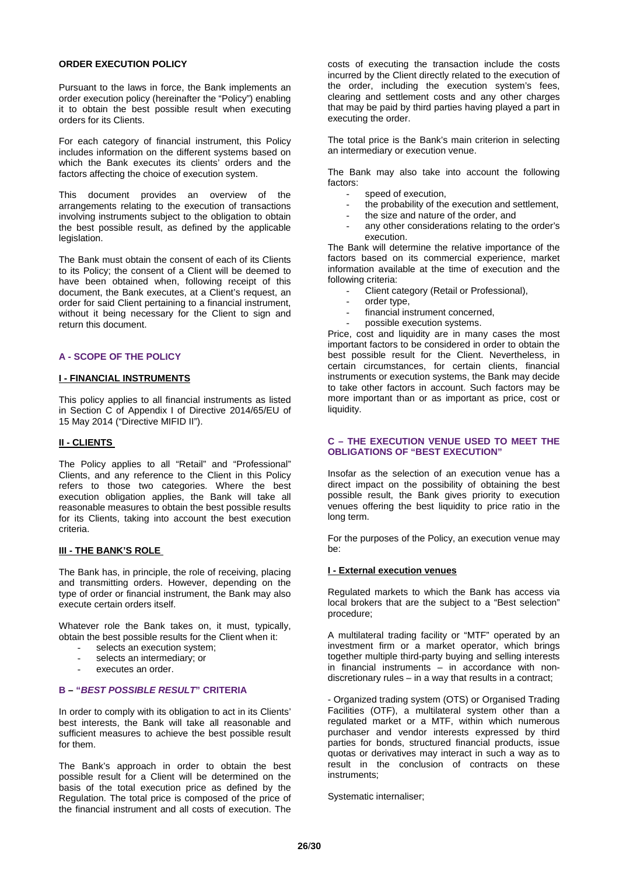## **ORDER EXECUTION POLICY**

Pursuant to the laws in force, the Bank implements an order execution policy (hereinafter the "Policy") enabling it to obtain the best possible result when executing orders for its Clients.

For each category of financial instrument, this Policy includes information on the different systems based on which the Bank executes its clients' orders and the factors affecting the choice of execution system.

This document provides an overview of the arrangements relating to the execution of transactions involving instruments subject to the obligation to obtain the best possible result, as defined by the applicable legislation.

The Bank must obtain the consent of each of its Clients to its Policy; the consent of a Client will be deemed to have been obtained when, following receipt of this document, the Bank executes, at a Client's request, an order for said Client pertaining to a financial instrument, without it being necessary for the Client to sign and return this document.

#### **A - SCOPE OF THE POLICY**

#### **I - FINANCIAL INSTRUMENTS**

This policy applies to all financial instruments as listed in Section C of Appendix I of Directive 2014/65/EU of 15 May 2014 ("Directive MIFID II").

#### **II - CLIENTS**

The Policy applies to all "Retail" and "Professional" Clients, and any reference to the Client in this Policy refers to those two categories. Where the best execution obligation applies, the Bank will take all reasonable measures to obtain the best possible results for its Clients, taking into account the best execution criteria.

## **III - THE BANK'S ROLE**

The Bank has, in principle, the role of receiving, placing and transmitting orders. However, depending on the type of order or financial instrument, the Bank may also execute certain orders itself.

Whatever role the Bank takes on, it must, typically, obtain the best possible results for the Client when it:

- selects an execution system;
- selects an intermediary; or
- executes an order.

## **B – "***BEST POSSIBLE RESULT***" CRITERIA**

In order to comply with its obligation to act in its Clients' best interests, the Bank will take all reasonable and sufficient measures to achieve the best possible result for them.

The Bank's approach in order to obtain the best possible result for a Client will be determined on the basis of the total execution price as defined by the Regulation. The total price is composed of the price of the financial instrument and all costs of execution. The

costs of executing the transaction include the costs incurred by the Client directly related to the execution of the order, including the execution system's fees, clearing and settlement costs and any other charges that may be paid by third parties having played a part in executing the order.

The total price is the Bank's main criterion in selecting an intermediary or execution venue.

The Bank may also take into account the following factors:

- speed of execution.
- the probability of the execution and settlement,
- the size and nature of the order, and
- any other considerations relating to the order's execution.

The Bank will determine the relative importance of the factors based on its commercial experience, market information available at the time of execution and the following criteria:

- Client category (Retail or Professional),
- order type,
- financial instrument concerned,
- possible execution systems.

Price, cost and liquidity are in many cases the most important factors to be considered in order to obtain the best possible result for the Client. Nevertheless, in certain circumstances, for certain clients, financial instruments or execution systems, the Bank may decide to take other factors in account. Such factors may be more important than or as important as price, cost or liquidity.

#### **C – THE EXECUTION VENUE USED TO MEET THE OBLIGATIONS OF "BEST EXECUTION"**

Insofar as the selection of an execution venue has a direct impact on the possibility of obtaining the best possible result, the Bank gives priority to execution venues offering the best liquidity to price ratio in the long term.

For the purposes of the Policy, an execution venue may be:

#### **I - External execution venues**

Regulated markets to which the Bank has access via local brokers that are the subject to a "Best selection" procedure;

A multilateral trading facility or "MTF" operated by an investment firm or a market operator, which brings together multiple third-party buying and selling interests in financial instruments – in accordance with nondiscretionary rules – in a way that results in a contract;

- Organized trading system (OTS) or Organised Trading Facilities (OTF), a multilateral system other than a regulated market or a MTF, within which numerous purchaser and vendor interests expressed by third parties for bonds, structured financial products, issue quotas or derivatives may interact in such a way as to result in the conclusion of contracts on these instruments;

Systematic internaliser;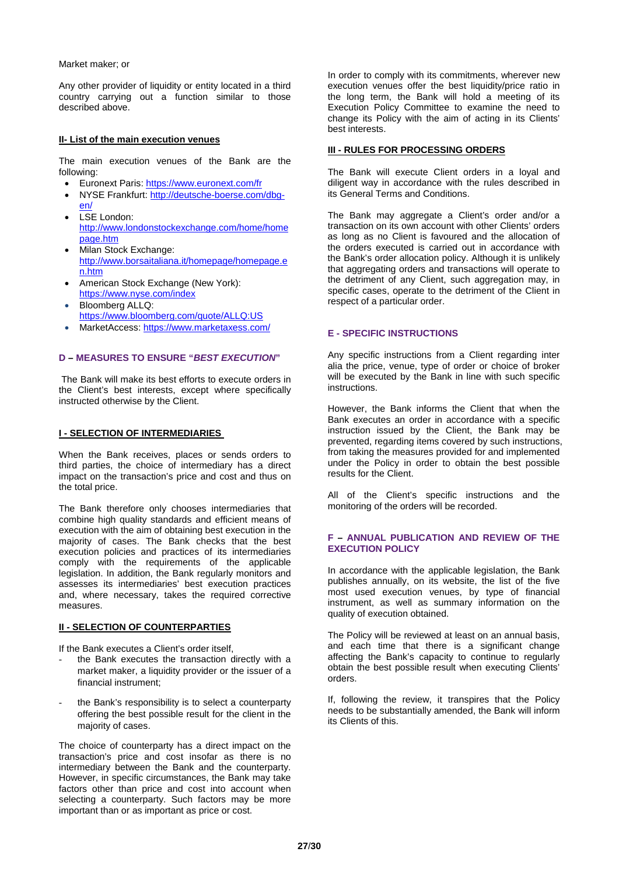Market maker; or

Any other provider of liquidity or entity located in a third country carrying out a function similar to those described above.

#### **II- List of the main execution venues**

The main execution venues of the Bank are the following:

- Euronext Paris[: https://www.euronext.com/fr](https://www.euronext.com/fr)
- NYSE Frankfurt[: http://deutsche-boerse.com/dbg](http://deutsche-boerse.com/dbg-en/)[en/](http://deutsche-boerse.com/dbg-en/)
- LSE London: [http://www.londonstockexchange.com/home/home](http://www.londonstockexchange.com/home/homepage.htm) [page.htm](http://www.londonstockexchange.com/home/homepage.htm)
- Milan Stock Exchange: [http://www.borsaitaliana.it/homepage/homepage.e](http://www.borsaitaliana.it/homepage/homepage.en.htm) [n.htm](http://www.borsaitaliana.it/homepage/homepage.en.htm)
- American Stock Exchange (New York): <https://www.nyse.com/index>
- Bloomberg ALLQ: <https://www.bloomberg.com/quote/ALLQ:US>
- MarketAccess: <https://www.marketaxess.com/>

#### **D – MEASURES TO ENSURE "***BEST EXECUTION***"**

The Bank will make its best efforts to execute orders in the Client's best interests, except where specifically instructed otherwise by the Client.

#### **I - SELECTION OF INTERMEDIARIES**

When the Bank receives, places or sends orders to third parties, the choice of intermediary has a direct impact on the transaction's price and cost and thus on the total price.

The Bank therefore only chooses intermediaries that combine high quality standards and efficient means of execution with the aim of obtaining best execution in the majority of cases. The Bank checks that the best execution policies and practices of its intermediaries comply with the requirements of the applicable legislation. In addition, the Bank regularly monitors and assesses its intermediaries' best execution practices and, where necessary, takes the required corrective measures.

## **II - SELECTION OF COUNTERPARTIES**

If the Bank executes a Client's order itself,

- the Bank executes the transaction directly with a market maker, a liquidity provider or the issuer of a financial instrument;
- the Bank's responsibility is to select a counterparty offering the best possible result for the client in the majority of cases.

The choice of counterparty has a direct impact on the transaction's price and cost insofar as there is no intermediary between the Bank and the counterparty. However, in specific circumstances, the Bank may take factors other than price and cost into account when selecting a counterparty. Such factors may be more important than or as important as price or cost.

In order to comply with its commitments, wherever new execution venues offer the best liquidity/price ratio in the long term, the Bank will hold a meeting of its Execution Policy Committee to examine the need to change its Policy with the aim of acting in its Clients' best interests.

#### **III - RULES FOR PROCESSING ORDERS**

The Bank will execute Client orders in a loyal and diligent way in accordance with the rules described in its General Terms and Conditions.

The Bank may aggregate a Client's order and/or a transaction on its own account with other Clients' orders as long as no Client is favoured and the allocation of the orders executed is carried out in accordance with the Bank's order allocation policy. Although it is unlikely that aggregating orders and transactions will operate to the detriment of any Client, such aggregation may, in specific cases, operate to the detriment of the Client in respect of a particular order.

#### **E - SPECIFIC INSTRUCTIONS**

Any specific instructions from a Client regarding inter alia the price, venue, type of order or choice of broker will be executed by the Bank in line with such specific instructions.

However, the Bank informs the Client that when the Bank executes an order in accordance with a specific instruction issued by the Client, the Bank may be prevented, regarding items covered by such instructions, from taking the measures provided for and implemented under the Policy in order to obtain the best possible results for the Client.

All of the Client's specific instructions and the monitoring of the orders will be recorded.

#### **F – ANNUAL PUBLICATION AND REVIEW OF THE EXECUTION POLICY**

In accordance with the applicable legislation, the Bank publishes annually, on its website, the list of the five most used execution venues, by type of financial instrument, as well as summary information on the quality of execution obtained.

The Policy will be reviewed at least on an annual basis, and each time that there is a significant change affecting the Bank's capacity to continue to regularly obtain the best possible result when executing Clients' orders.

If, following the review, it transpires that the Policy needs to be substantially amended, the Bank will inform its Clients of this.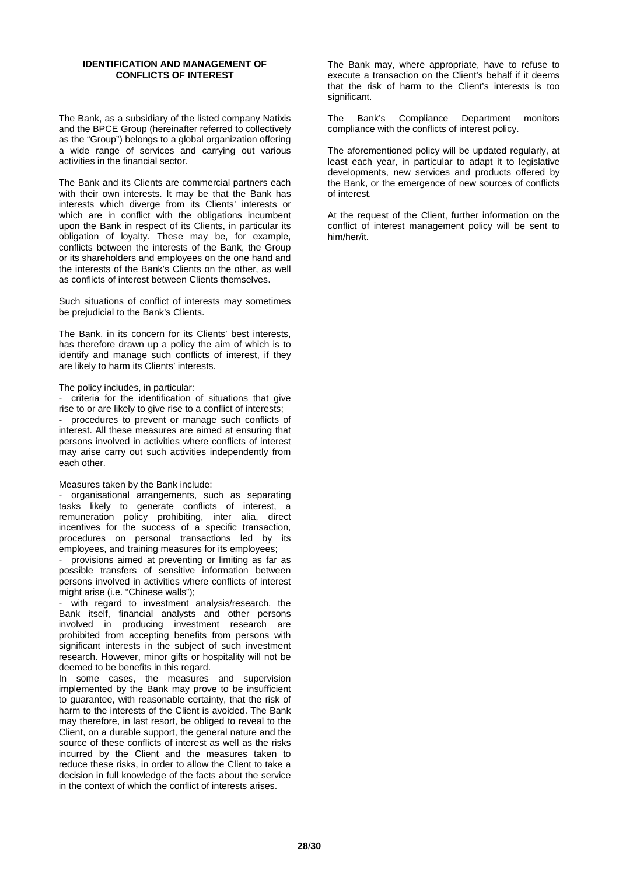#### **IDENTIFICATION AND MANAGEMENT OF CONFLICTS OF INTEREST**

The Bank, as a subsidiary of the listed company Natixis and the BPCE Group (hereinafter referred to collectively as the "Group") belongs to a global organization offering a wide range of services and carrying out various activities in the financial sector.

The Bank and its Clients are commercial partners each with their own interests. It may be that the Bank has interests which diverge from its Clients' interests or which are in conflict with the obligations incumbent upon the Bank in respect of its Clients, in particular its obligation of loyalty. These may be, for example, conflicts between the interests of the Bank, the Group or its shareholders and employees on the one hand and the interests of the Bank's Clients on the other, as well as conflicts of interest between Clients themselves.

Such situations of conflict of interests may sometimes be prejudicial to the Bank's Clients.

The Bank, in its concern for its Clients' best interests, has therefore drawn up a policy the aim of which is to identify and manage such conflicts of interest, if they are likely to harm its Clients' interests.

The policy includes, in particular:

- criteria for the identification of situations that give rise to or are likely to give rise to a conflict of interests; procedures to prevent or manage such conflicts of interest. All these measures are aimed at ensuring that persons involved in activities where conflicts of interest may arise carry out such activities independently from each other.

Measures taken by the Bank include:

organisational arrangements, such as separating tasks likely to generate conflicts of interest, a remuneration policy prohibiting, inter alia, direct incentives for the success of a specific transaction, procedures on personal transactions led by its employees, and training measures for its employees;

- provisions aimed at preventing or limiting as far as possible transfers of sensitive information between persons involved in activities where conflicts of interest might arise (i.e. "Chinese walls");

with regard to investment analysis/research, the Bank itself, financial analysts and other persons involved in producing investment research are prohibited from accepting benefits from persons with significant interests in the subject of such investment research. However, minor gifts or hospitality will not be deemed to be benefits in this regard.

In some cases, the measures and supervision implemented by the Bank may prove to be insufficient to guarantee, with reasonable certainty, that the risk of harm to the interests of the Client is avoided. The Bank may therefore, in last resort, be obliged to reveal to the Client, on a durable support, the general nature and the source of these conflicts of interest as well as the risks incurred by the Client and the measures taken to reduce these risks, in order to allow the Client to take a decision in full knowledge of the facts about the service in the context of which the conflict of interests arises.

The Bank may, where appropriate, have to refuse to execute a transaction on the Client's behalf if it deems that the risk of harm to the Client's interests is too significant.

The Bank's Compliance Department monitors compliance with the conflicts of interest policy.

The aforementioned policy will be updated regularly, at least each year, in particular to adapt it to legislative developments, new services and products offered by the Bank, or the emergence of new sources of conflicts of interest.

At the request of the Client, further information on the conflict of interest management policy will be sent to him/her/it.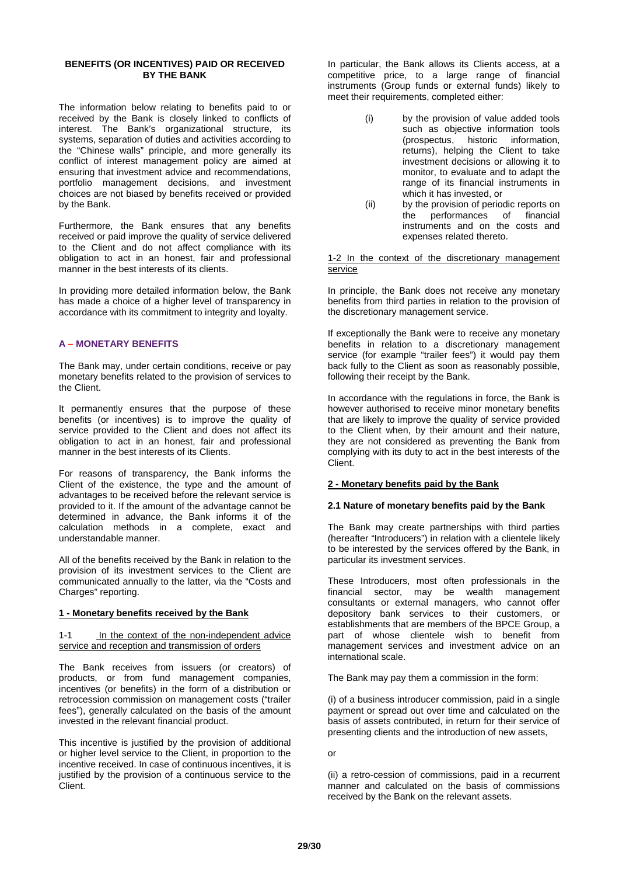## **BENEFITS (OR INCENTIVES) PAID OR RECEIVED BY THE BANK**

The information below relating to benefits paid to or received by the Bank is closely linked to conflicts of interest. The Bank's organizational structure, its systems, separation of duties and activities according to the "Chinese walls" principle, and more generally its conflict of interest management policy are aimed at ensuring that investment advice and recommendations, portfolio management decisions, and investment choices are not biased by benefits received or provided by the Bank.

Furthermore, the Bank ensures that any benefits received or paid improve the quality of service delivered to the Client and do not affect compliance with its obligation to act in an honest, fair and professional manner in the best interests of its clients.

In providing more detailed information below, the Bank has made a choice of a higher level of transparency in accordance with its commitment to integrity and loyalty.

## **A – MONETARY BENEFITS**

The Bank may, under certain conditions, receive or pay monetary benefits related to the provision of services to the Client.

It permanently ensures that the purpose of these benefits (or incentives) is to improve the quality of service provided to the Client and does not affect its obligation to act in an honest, fair and professional manner in the best interests of its Clients.

For reasons of transparency, the Bank informs the Client of the existence, the type and the amount of advantages to be received before the relevant service is provided to it. If the amount of the advantage cannot be determined in advance, the Bank informs it of the calculation methods in a complete, exact and understandable manner.

All of the benefits received by the Bank in relation to the provision of its investment services to the Client are communicated annually to the latter, via the "Costs and Charges" reporting.

#### **1 - Monetary benefits received by the Bank**

#### 1-1 In the context of the non-independent advice service and reception and transmission of orders

The Bank receives from issuers (or creators) of products, or from fund management companies, incentives (or benefits) in the form of a distribution or retrocession commission on management costs ("trailer fees"), generally calculated on the basis of the amount invested in the relevant financial product.

This incentive is justified by the provision of additional or higher level service to the Client, in proportion to the incentive received. In case of continuous incentives, it is justified by the provision of a continuous service to the Client.

In particular, the Bank allows its Clients access, at a competitive price, to a large range of financial instruments (Group funds or external funds) likely to meet their requirements, completed either:

- (i) by the provision of value added tools such as objective information tools<br>(prospectus, historic information, (prospectus, historic returns), helping the Client to take investment decisions or allowing it to monitor, to evaluate and to adapt the range of its financial instruments in which it has invested, or
- (ii) by the provision of periodic reports on<br>the performances of financial performances instruments and on the costs and expenses related thereto.

1-2 In the context of the discretionary management service

In principle, the Bank does not receive any monetary benefits from third parties in relation to the provision of the discretionary management service.

If exceptionally the Bank were to receive any monetary benefits in relation to a discretionary management service (for example "trailer fees") it would pay them back fully to the Client as soon as reasonably possible, following their receipt by the Bank.

In accordance with the regulations in force, the Bank is however authorised to receive minor monetary benefits that are likely to improve the quality of service provided to the Client when, by their amount and their nature, they are not considered as preventing the Bank from complying with its duty to act in the best interests of the Client.

#### **2 - Monetary benefits paid by the Bank**

#### **2.1 Nature of monetary benefits paid by the Bank**

The Bank may create partnerships with third parties (hereafter "Introducers") in relation with a clientele likely to be interested by the services offered by the Bank, in particular its investment services.

These Introducers, most often professionals in the financial sector, may be wealth management consultants or external managers, who cannot offer depository bank services to their customers, or establishments that are members of the BPCE Group, a part of whose clientele wish to benefit from management services and investment advice on an international scale.

The Bank may pay them a commission in the form:

(i) of a business introducer commission, paid in a single payment or spread out over time and calculated on the basis of assets contributed, in return for their service of presenting clients and the introduction of new assets,

or

(ii) a retro-cession of commissions, paid in a recurrent manner and calculated on the basis of commissions received by the Bank on the relevant assets.